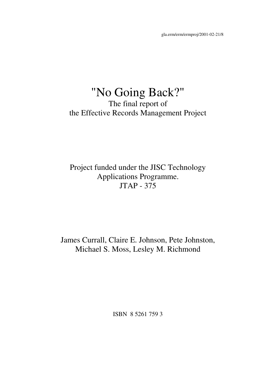gla.erm/erm/ermproj/2001-02-21/8

# "No Going Back?"

The final report of the Effective Records Management Project

# Project funded under the JISC Technology Applications Programme. JTAP - 375

# James Currall, Claire E. Johnson, Pete Johnston, Michael S. Moss, Lesley M. Richmond

ISBN 8 5261 759 3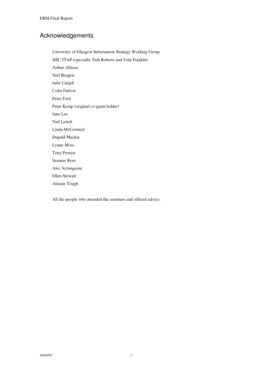# Acknowledgements

University of Glasgow Information Strategy Working Group JISC JTAP especially Tish Roberts and Tom Franklin Arthur Allison Neil Beagrie Julie Cargill Colin Farrow Peter Ford Peter Kemp (original co-grant holder) Jane Lee Neil Leitch Linda McCormick Dugald Mackie Lynne Moss Tony Prosser Seamus Ross Alec Scrimgeour Ellen Stewart

Alistair Tough

All the people who attended the seminars and offered advice.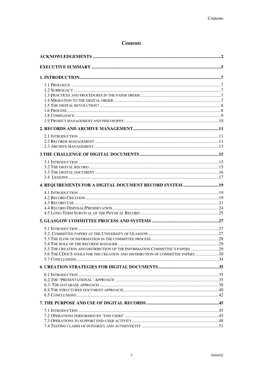# **Contents**

| 4. REQUIREMENTS FOR A DIGITAL DOCUMENT RECORD SYSTEM 19                                                                                                       |  |
|---------------------------------------------------------------------------------------------------------------------------------------------------------------|--|
|                                                                                                                                                               |  |
|                                                                                                                                                               |  |
|                                                                                                                                                               |  |
|                                                                                                                                                               |  |
|                                                                                                                                                               |  |
|                                                                                                                                                               |  |
|                                                                                                                                                               |  |
|                                                                                                                                                               |  |
|                                                                                                                                                               |  |
|                                                                                                                                                               |  |
| 5.5 THE CREATION AND DISTRIBUTION OF THE INFORMATION COMMITTEE'S PAPERS  29<br>$5.6$ THE CDOCS TOOLS FOR THE CREATION AND DISTRIBUTION OF COMMITTEE PAPERS 30 |  |
|                                                                                                                                                               |  |
|                                                                                                                                                               |  |
|                                                                                                                                                               |  |
|                                                                                                                                                               |  |
|                                                                                                                                                               |  |
|                                                                                                                                                               |  |
|                                                                                                                                                               |  |
|                                                                                                                                                               |  |
|                                                                                                                                                               |  |
|                                                                                                                                                               |  |
|                                                                                                                                                               |  |
|                                                                                                                                                               |  |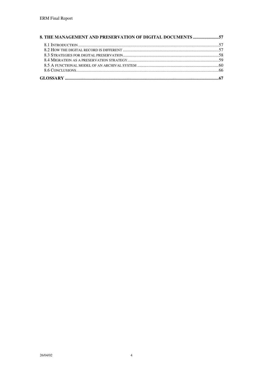| 8. THE MANAGEMENT AND PRESERVATION OF DIGITAL DOCUMENTS 57 |  |
|------------------------------------------------------------|--|
|                                                            |  |
|                                                            |  |
|                                                            |  |
|                                                            |  |
|                                                            |  |
|                                                            |  |
|                                                            |  |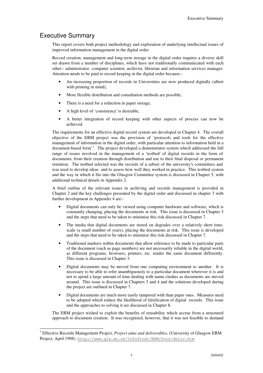# Executive Summary

-

This report covers both project methodology and exploration of underlying intellectual issues of improved information management in the digital order.

Record creation, management and long-term storage in the digital order requires a diverse skill set drawn from a number of disciplines, which have not traditionally communicated with each other:- administrator, computer scientist, archivist, librarian and information services manager. Attention needs to be paid to record keeping in the digital order because:-

- An increasing proportion of records in Universities are now produced digitally (albeit with printing in mind),
- More flexible distribution and consultation methods are possible,
- There is a need for a reduction in paper storage,
- A high level of 'consistency' is desirable,
- A better integration of record keeping with other aspects of process can now be achieved.

The requirements for an effective digital record system are developed in Chapter 4. The overall objective of the ERM project was the provision of 'protocols and tools for the effective management of information in the digital order, with particular attention to information held in a document-based form<sup>1</sup>. The project developed a demonstrator system which addressed the full range of issues involved in the management of a 'testbed' of digital records in the form of documents, from their creation through distribution and use to their final disposal or permanent retention. The testbed selected was the records of a subset of the university's committees and was used to develop ideas and to assess how well they worked in practice. This testbed system and the way in which it fits into the Glasgow Committee system is discussed in Chapter 5, with additional technical details in Appendix 2.

A brief outline of the relevant issues in archiving and records management is provided in Chapter 2 and the key challenges presented by the digital order and discussed in chapter 3 with further development in Appendix 4 are:-

- Digital documents can only be viewed using computer hardware and software, which is constantly changing, placing the documents at risk. This issue is discussed in Chapter 3 and the steps that need to be taken to minimise this risk discussed in Chapter 7.
- The media that digital documents are stored on degrades over a relatively short timescale (a small number of years), placing the documents at risk. This issue is developed and the steps that need to be taken to minimise this risk discussed in Chapter 7.
- Traditional markers within documents that allow reference to be made to particular parts of the document (such as page numbers) are not necessarily reliable in the digital world, as different programs, browsers, printers, etc. render the same document differently. This issue is discussed in Chapter 3.
- Digital documents may be moved from one computing environment to another. It is necessary to be able to refer unambiguously to a particular document wherever it is and not to spend a large amount of time dealing with name clashes as documents are moved around. This issue is discussed in Chapters 3 and 4 and the solutions developed during the project are outlined in Chapter 7.
- Digital documents are much more easily tampered with than paper ones. Measures need to be adopted which reduce the likelihood of falsification of digital records. This issue and the approaches to solving it are discussed in Chapter 8.

The ERM project wished to exploit the benefits of reusability which accrue from a structured approach to document creation. It was recognised, however, that it was not feasible to demand

<sup>1</sup> Effective Records Management Project, *Project aims and deliverables*, (University of Glasgow ERM Project, April 1998). http://www.gla.ac.uk/InfoStrat/ERM/Docs/deliv.htm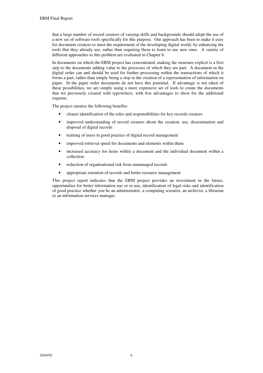that a large number of record creators of varying skills and backgrounds should adopt the use of a new set of software tools specifically for this purpose. Our approach has been to make it easy for document creators to meet the requirement of the developing digital world, by enhancing the tools that they already use, rather than requiring them to learn to use new ones. A variety of different approaches to this problem are evaluated in Chapter 6.

In documents on which the ERM project has concentrated, making the structure explicit is a first step to the documents adding value to the processes of which they are part. A document in the digital order can and should be used for further processing within the transactions of which it forms a part, rather than simply being a step in the creation of a representation of information on paper. In the paper order documents do not have this potential. If advantage is not taken of these possibilities, we are simply using a more expensive set of tools to create the documents that we previously created with typewriters, with few advantages to show for the additional expense.

The project ensures the following benefits:

- clearer identification of the roles and responsibilities for key records creators
- improved understanding of record creators about the creation, use, dissemination and disposal of digital records
- training of users in good practice of digital record management
- improved retrieval speed for documents and elements within them
- increased accuracy for items within a document and the individual document within a collection
- reduction of organisational risk from unmanaged records
- appropriate retention of records and better resource management

This project report indicates that the ERM project provides an investment in the future, opportunities for better information use or re-use, identification of legal risks and identification of good practice whether you be an administrator, a computing scientist, an archivist, a librarian or an information services manager.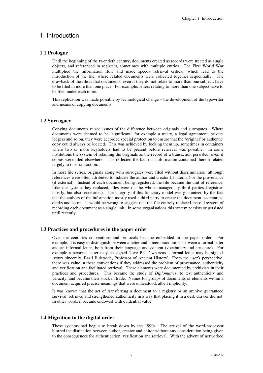# 1. Introduction

# **1.1 Prologue**

Until the beginning of the twentieth century, documents created as records were treated as single objects, and referenced in registers, sometimes with multiple entries. The First World War multiplied the information flow and made speedy retrieval critical, which lead to the introduction of the file, where related documents were collected together sequentially. The drawback of the file is that documents, even if they do not relate to more than one subject, have to be filed in more than one place. For example, letters relating to more than one subject have to be filed under each topic.

This replication was made possible by technological change – the development of the typewriter and means of copying documents.

# **1.2 Surrogacy**

Copying documents raised issues of the difference between originals and surrogates. Where documents were deemed to be 'significant', for example a treaty, a legal agreement, private ledgers and so on, they were accorded special protection to ensure that the 'original' or authentic copy could always be located. This was achieved by locking them up, sometimes in containers where two or more keyholders had to be present before retrieval was possible. In some institutions the system of retaining the originals as the record of a transaction persisted, even if copies were filed elsewhere. This reflected the fact that information contained therein related largely to one transaction.

In most file series, originals along with surrogates were filed without discrimination, although references were often attributed to indicate the author and creator (if internal) or the provenance (if external). Instead of each document being registered, the file became the unit of reference. Like the system they replaced, files were on the whole managed by third parties (registries mostly, but also secretaries). The integrity of this fiduciary model was guaranteed by the fact that the authors of the information mostly used a third party to create the document, secretaries, clerks and so on. It would be wrong to suggest that the file entirely replaced the old system of recording each document as a single unit. In some organisations this system persists or persisted until recently.

# **1.3 Practices and procedures in the paper order**

Over the centuries conventions and protocols became embedded in the paper order. For example, it is easy to distinguish between a letter and a memorandum or between a formal letter and an informal letter, both from their language and content (vocabulary and structure). For example a personal letter may be signed 'love Basil' whereas a formal letter may be signed 'yours sincerely, Basil Bulstrode, Professor of Ancient History'. From the user's perspective there was value in these conventions if they addressed the problem of provenance, authenticity and verification and facilitated retrieval. These elements were documented by archivists in their practices and procedures. This became the study of *Diplomatics*, to test authenticity and veracity, and became their stock in trade. Names for groups of documents or elements within a document acquired precise meanings that were understood, albeit implicitly.

It was known that the act of transferring a document to a registry or an archive guaranteed survival, retrieval and strengthened authenticity in a way that placing it in a desk drawer did not. In other words it became endowed with evidential value.

# **1.4 Migration to the digital order**

These systems had begun to break down by the 1990s. The arrival of the word-processor blurred the distinction between author, creator and editor without any consideration being given to the consequences for authentication, verification and retrieval. With the advent of networked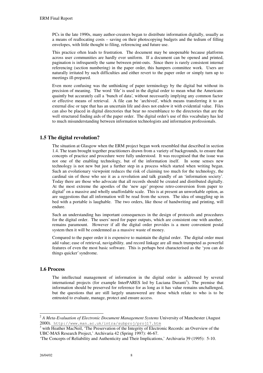PCs in the late 1990s, many author-creators began to distribute information digitally, usually as a means of reallocating costs – saving on their photocopying budgets and the tedium of filling envelopes, with little thought to filing, referencing and future use.

This practice often leads to frustration. The document may be unopenable because platforms across user communities are hardly ever uniform. If a document can be opened and printed, pagination is infrequently the same between print-outs. Since there is rarely consistent internal referencing (section numbering) in the paper order, this hampers committee work. Users are naturally irritated by such difficulties and either revert to the paper order or simply turn up to meetings ill-prepared.

Even more confusing was the unthinking of paper terminology by the digital but without its precision of meaning. The word 'file' is used in the digital order to mean what the Americans quaintly but accurately call a 'bunch of data', without necessarily implying any common factor or effective means of retrieval. A file can be 'archived', which means transferring it to an external disc or tape that has an uncertain life and does not endow it with evidential value. Files can also be placed in digital directories that bear no resemblance to the directories that are the well structured finding aids of the paper order. The digital order's use of this vocabulary has led to much misunderstanding between information technologists and information professionals.

# **1.5 The digital revolution?**

The situation at Glasgow when the ERM project began work resembled that described in section 1.4. The team brought together practitioners drawn from a variety of backgrounds, to ensure that concepts of practice and procedure were fully understood. It was recognised that the issue was not one of the enabling technology, but of the information itself. In some senses new technology is not new but just a further step in a process which started when writing began. Such an evolutionary viewpoint reduces the risk of claiming too much for the technology, the cardinal sin of those who see it as a revolution and talk grandly of an 'information society'. Today there are those who advocate that all records should be created and distributed digitally. At the most extreme the apostles of the 'new age' propose retro-conversion from paper to digital<sup>2</sup> on a massive and wholly unaffordable scale. This is at present an unworkable option, as are suggestions that all information will be read from the screen. The idea of snuggling up in bed with a portable is laughable. The two orders, like those of handwriting and printing, will endure.

Such an understanding has important consequences in the design of protocols and procedures for the digital order. The users' need for paper outputs, which are consistent one with another, remains paramount. However if all the digital order provides is a more convenient postal system then it will be condemned as a massive waste of money.

Compared to the paper order it is expensive to maintain the digital order. The digital order must add value; ease of retrieval, navigability*,* and record linkage are all much trumpeted as powerful features of even the most basic software. This is perhaps best characterised as the 'you can do things quicker' syndrome.

# **1.6 Process**

The intellectual management of information in the digital order is addressed by several international projects (for example InterPARES led by Luciana Duranti<sup>3</sup>). The premise that information should be preserved for reference for as long as it has value remains unchallenged, but the questions that are still largely unanswered are those which relate to who is to be entrusted to evaluate, manage, protect and ensure access.

l

<sup>&</sup>lt;sup>2</sup> A Meta-Evaluation of Electronic Document Management Systems University of Manchester (August 2000). http://www.man.ac.uk/intra/subproj/proj17.htm

with Heather MacNeil, 'The Preservation of the Integrity of Electronic Records: an Overview of the UBC-MAS Research Project,' Archivaria 42 (Spring 1997): 46-67.

<sup>&#</sup>x27;The Concepts of Reliability and Authenticity and Their Implications,' Archivaria 39 (1995): 5-10.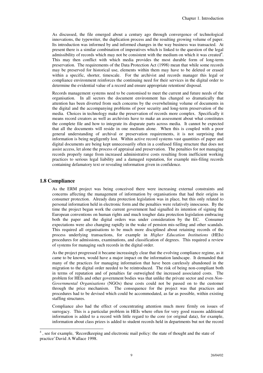As discussed, the file emerged about a century ago through convergence of technological innovations, the typewriter, the duplication process and the resulting growing volume of paper. Its introduction was informed by and informed changes in the way business was transacted. At present there is a similar combination of imperatives which is linked to the question of the legal admissibility of records which may not be consistent with the medium on which it was created<sup>4</sup>. This may then conflict with which media provides the most durable form of long-term preservation. The requirements of the Data Protection Act (1998) mean that while some records may be preserved for historical use, elements within them may have to be deleted or erased within a specific, shorter, timescale. For the archivist and records manager this legal or compliance environment reinforces the continuing need for their services in the digital order to determine the evidential value of a record and ensure appropriate retention/ disposal.

Records management systems need to be customised to meet the current and future needs of the organisation. In all sectors the document environment has changed so dramatically that attention has been diverted from such concerns by the overwhelming volume of documents in the digital and the accompanying problems of poor security and long-term preservation of the media. Choices in technology make the preservation of records more complex. Specifically it means record creators as well as archivists have to make an assessment about what constitutes the complete file and how to integrate its disparate parts across media. It cannot be expected that all the documents will reside in one medium alone. When this is coupled with a poor general understanding of archival or preservation requirements, it is not surprising that information is being negligently lost. Within active record systems vast quantities of paper and digital documents are being kept unnecessarily often in a confused filing structure that does not assist access, let alone the process of appraisal and preservation. The penalties for not managing records properly range from increased administrative costs resulting from inefficient working practices to serious legal liability and a damaged reputation, for example mis-filing records containing defamatory text or revealing information given in confidence.

# **1.8 Compliance**

-

As the ERM project was being conceived there were increasing external constraints and concerns affecting the management of information by organisations that had their origins in consumer protection. Already data protection legislation was in place, but this only related to personal information held in electronic form and the penalties were relatively innocuous. By the time the project began work the current government had signalled its intention of signing the European conventions on human rights and much tougher data protection legislation embracing both the paper and the digital orders was under consideration by the EC. Consumer expectations were also changing rapidly in the wake of pension mis-selling and other scandals. This required all organisations to be much more disciplined about retaining records of the process underlying transactions, for example in *Higher Education Institutions* (HEIs) procedures for admissions, examinations, and classification of degrees. This required a review of systems for managing such records in the digital order.

As the project progressed it became increasingly clear that the evolving compliance regime, as it came to be known, would have a major impact on the information landscape. It demanded that many of the practices for managing information that have been carelessly abandoned in the migration to the digital order needed to be reintroduced. The risk of being non-compliant both in terms of reputation and of penalties far outweighed the increased associated costs. The problem for HEIs and other government bodies was that unlike the private sector and even *Non-Governmental Organisations* (NGOs) these costs could not be passed on to the customer through the price mechanism. The consequence for the project was that practices and procedures had to be devised which could be accommodated, as far as possible, within existing staffing structures.

Compliance also had the effect of concentrating attention much more firmly on issues of surrogacy. This is a particular problem in HEIs where often for very good reasons additional information is added to a record with little regard to the core (or original data), for example, information about class prizes is added to student records held in departments but not the record

<sup>&</sup>lt;sup>4</sup>, see for example, 'Recordkeeping and electronic mail policy: the state of thought and the state of practice' David A Wallace 1998.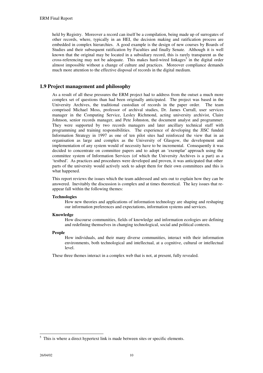held by Registry. Moreover a record can itself be a compilation, being made up of surrogates of other records, where, typically in an HEI, the decision making and ratification process are embedded in complex hierarchies. A good example is the design of new courses by Boards of Studies and their subsequent ratification by Faculties and finally Senate. Although it is well known that the original may be located in a subsidiary record, this is rarely transparent as the cross-referencing may not be adequate. This makes hard-wired linkages<sup>5</sup> in the digital order almost impossible without a change of culture and practices. Moreover compliance demands much more attention to the effective disposal of records in the digital medium.

# **1.9 Project management and philosophy**

As a result of all these pressures the ERM project had to address from the outset a much more complex set of questions than had been originally anticipated. The project was based in the University Archives, the traditional custodian of records in the paper order. The team comprised Michael Moss, professor of archival studies, Dr. James Currall, user services manager in the Computing Service, Lesley Richmond, acting university archivist, Claire Johnson, senior records manager, and Pete Johnston, the document analyst and programmer. They were supported by two records managers and later ancillary technical staff with programming and training responsibilities. The experience of developing the JISC funded Information Strategy in 1997 as one of ten pilot sites had reinforced the view that in an organisation as large and complex as the University of Glasgow, the development and implementation of any system would of necessity have to be incremental. Consequently it was decided to concentrate on committee papers and to adopt an 'exemplar' approach using the committee system of Information Services (of which the University Archives is a part) as a 'testbed'. As practices and procedures were developed and proven, it was anticipated that other parts of the university would actively seek to adopt them for their own committees and this is what happened.

This report reviews the issues which the team addressed and sets out to explain how they can be answered. Inevitably the discussion is complex and at times theoretical. The key issues that reappear fall within the following themes:

#### **Technologies**

How new theories and applications of information technology are shaping and reshaping our information preferences and expectations, information systems and services.

#### **Knowledge**

How discourse communities, fields of knowledge and information ecologies are defining and redefining themselves in changing technological, social and political contexts.

#### **People**

How individuals, and their many diverse communities, interact with their information environments, both technological and intellectual, at a cognitive, cultural or intellectual level.

These three themes interact in a complex web that is not, at present, fully revealed.

-

 $<sup>5</sup>$  This is where a direct hypertext link is made between sites or specific elements.</sup>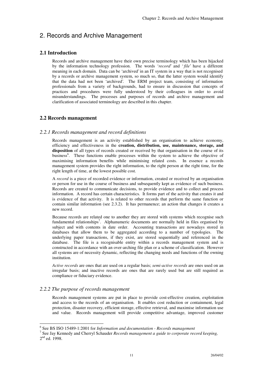# 2. Records and Archive Management

# **2.1 Introduction**

Records and archive management have their own precise terminology which has been hijacked by the information technology profession. The words '*record*' and '*file*' have a different meaning in each domain. Data can be 'archived' in an IT system in a way that is not recognised by a records or archive management system, so much so, that the latter system would identify that the data had not been 'archived'. The ERM project team, consisting of information professionals from a variety of backgrounds, had to ensure in discussion that concepts of practices and procedures were fully understood by their colleagues in order to avoid misunderstandings. The processes and purposes of records and archive management and clarification of associated terminology are described in this chapter.

# **2.2 Records management**

#### *2.2.1 Records management and record definitions*

Records management is an activity established by an organisation to achieve economy, efficiency and effectiveness in the **creation, distribution, use, maintenance, storage, and disposition** of all types of records created or received by that organisation in the course of its business<sup>6</sup>. These functions enable processes within the system to achieve the objective of maximising information benefits while minimising related costs. In essence a records management system provides the right information, to the right person at the right time, for the right length of time, at the lowest possible cost.

A *record* is a piece of recorded evidence or information, created or received by an organisation or person for use in the course of business and subsequently kept as evidence of such business. Records are created to communicate decisions, to provide evidence and to collect and process information. A record has certain characteristics. It forms part of the activity that creates it and is evidence of that activity. It is related to other records that perform the same function or contain similar information (see 2.3.2). It has permanence; an action that changes it creates a new record.

Because records are related one to another they are stored with systems which recognise such fundamental relationships<sup>7</sup>. Alphanumeric documents are normally held in files organised by subject and with contents in date order. Accounting transactions are nowadays stored in databases that allow them to be aggregated according to a number of typologies. The underlying paper transactions, if they exist, are stored sequentially and referenced in the database. The file is a recognisable entity within a records management system and is constructed in accordance with an over-arching file plan or a scheme of classification. However all systems are of necessity dynamic, reflecting the changing needs and functions of the owning institution.

*Active records* are ones that are used on a regular basis; *semi-active records* are ones used on an irregular basis; and inactive records are ones that are rarely used but are still required as compliance or fiduciary evidence.

#### *2.2.2 The purpose of records management*

Records management systems are put in place to provide cost-effective creation, exploitation and access to the records of an organisation. It enables cost reduction or containment, legal protection, disaster recovery, efficient storage, effective retrieval, and maximise information use and value. Records management will provide competitive advantage, improved customer

 6 See BS ISO 15489-1:2001 for *Information and documentation - Records management*

<sup>7</sup> See Jay Kennedy and Cherryl Schauder *Records management a guide to corporate record keeping,*  $2<sup>nd</sup>$  ed. 1998.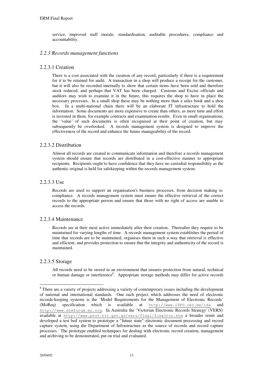service, improved staff morale, standardisation, auditable procedures, compliance and accountability.

# *2.2.3 Records management functions*

# 2.2.3.1 Creation

There is a cost associated with the creation of any record, particularly if there is a requirement for it to be retained for audit. A transaction in a shop will produce a receipt for the customer, but it will also be recorded internally to show that certain items have been sold and therefore stock reduced, and perhaps that VAT has been charged. Customs and Excise officials and auditors may wish to examine it in the future, this requires the shop to have in place the necessary processes. In a small shop these may be nothing more than a sales book and a shoe box. In a multi-national chain there will be an elaborate IT infrastructure to hold the information. Some documents are more expensive to create than others, as more time and effort is invested in them, for example contracts and examination results. Even in small organisations, the 'value' of such documents is often recognised at their point of creation, but may subsequently be overlooked. A records management system is designed to improve the effectiveness of the record and enhance the future manageability of the record.

# 2.2.3.2 Distribution

Almost all records are created to communicate information and therefore a records management system should ensure that records are distributed in a cost-effective manner to appropriate recipients. Recipients ought to have confidence that they have no custodial responsibility as the authentic original is held for safekeeping within the records management system.

# 2.2.3.3 Use

Records are used to support an organisation's business processes, from decision making to compliance. A records management system must ensure the effective retrieval of the correct records to the appropriate person and ensure that those with no right of access are unable to access the records.

# 2.2.3.4 Maintenance

Records are at their most active immediately after their creation. Thereafter they require to be maintained for varying lengths of time. A records management system establishes the period of time that records are to be maintained, organises them in such a way that retrieval is effective and efficient, and provides protection to ensure that the integrity and authenticity of the record is maintained.

# 2.2.3.5 Storage

All records need to be stored in an environment that ensures protection from natural, technical or human damage or interference<sup>8</sup>. Appropriate storage methods may differ for active records

 $\overline{a}$ 

<sup>&</sup>lt;sup>8</sup> There are a variety of projects addressing a variety of contemporary issues including the development of national and international standards. One such project which addresses the need of electronic records-keeping systems is the 'Model Requirements for the Management of Electronic Records' (MoReq) specification which is available at http://www.ISPO.cec.be/ida and http://www.dlmforum.eu.org. In Australia the 'Victorian Electronic Records Strategy' (VERS) available at http://www.prov.vic.gov.au/vers/final/finaltoc.htm a broader remit and developed a test bed system to prototype a "future state" electronic document processing and record capture system, using the Department of Infrastructure as the source of records and record capture processes. The prototype enabled techniques for dealing with electronic record creation, management and archiving to be demonstrated, put on trial and evaluated.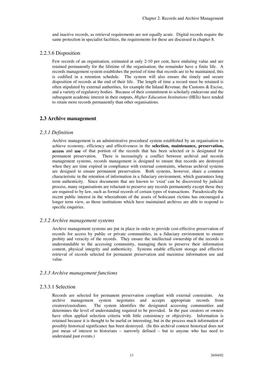and inactive records, as retrieval requirements are not equally acute. Digital records require the same protection in specialist facilities, the requirements for these are discussed in chapter 8.

# 2.2.3.6 Disposition

Few records of an organisation, estimated at only 2-10 per cent, have enduring value and are retained permanently for the lifetime of the organisation; the remainder have a finite life. A records management system establishes the period of time that records are to be maintained, this is codified in a retention schedule. The system will also ensure the timely and secure disposition of records at the end of their life. The length of time a record must be retained is often stipulated by external authorities, for example the Inland Revenue, the Customs & Excise, and a variety of regulatory bodies. Because of their commitment to scholarly endeavour and the subsequent academic interest in their outputs, *Higher Education Institutions* (HEIs) have tended to retain more records permanently than other organisations.

# **2.3 Archive management**

#### *2.3.1 Definition*

Archive management is an administrative procedural system established by an organisation to achieve economy, efficiency and effectiveness in the **selection, maintenance, preservation, access** and **use** of that portion of the records that has been selected or is designated for permanent preservation. There is increasingly a conflict between archival and records management systems, records management is designed to ensure that records are destroyed when they are time expired in compliance with external constraints, whereas archival systems are designed to ensure permanent preservation. Both systems, however, share a common characteristic in the retention of information in a fiduciary environment, which guarantees long term authenticity. Since documents that are known to 'exist' can be discovered by judicial process, many organisations are reluctant to preserve any records permanently except those they are required to by law, such as formal records of certain types of transactions. Paradoxically the recent public interest in the whereabouts of the assets of holocaust victims has encouraged a longer term view, as those institutions which have maintained archives are able to respond to specific enquiries.

#### *2.3.2 Archive management systems*

Archive management systems are put in place in order to provide cost-effective preservation of records for access by public or private communities, in a fiduciary environment to ensure probity and veracity of the records. They ensure the intellectual ownership of the records is understandable to the accessing community, managing them to preserve their information content, physical integrity and authenticity. Systems enable efficient storage and effective retrieval of records selected for permanent preservation and maximise information use and value.

#### *2.3.3 Archive management functions*

#### 2.3.3.1 Selection

Records are selected for permanent preservation compliant with external constraints. An archive management system negotiates and accepts appropriate records from creators/custodians. The system identifies the designated accessing communities and determines the level of understanding required to be provided. In the past creators or owners have often applied selection criteria with little consistency or objectivity. Information is retained because it is thought to be useful or interesting, but in the process much information of possibly historical significance has been destroyed. (In this archival context historical does not just mean of interest to historians – narrowly defined – but to anyone who has need to understand past events.)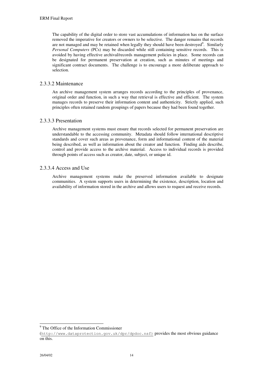The capability of the digital order to store vast accumulations of information has on the surface removed the imperative for creators or owners to be selective. The danger remains that records are not managed and may be retained when legally they should have been destroyed<sup>9</sup>. Similarly *Personal Computers* (PCs) may be discarded while still containing sensitive records. This is avoided by having effective archival/records management policies in place. Some records can be designated for permanent preservation at creation, such as minutes of meetings and significant contract documents. The challenge is to encourage a more deliberate approach to selection.

# 2.3.3.2 Maintenance

An archive management system arranges records according to the principles of provenance, original order and function, in such a way that retrieval is effective and efficient. The system manages records to preserve their information content and authenticity. Strictly applied, such principles often retained random groupings of papers because they had been found together.

# 2.3.3.3 Presentation

Archive management systems must ensure that records selected for permanent preservation are understandable to the accessing community. Metadata should follow international descriptive standards and cover such areas as provenance, form and informational content of the material being described, as well as information about the creator and function. Finding aids describe, control and provide access to the archive material. Access to individual records is provided through points of access such as creator, date, subject, or unique id.

# 2.3.3.4 Access and Use

Archive management systems make the preserved information available to designate communities. A system supports users in determining the existence, description, location and availability of information stored in the archive and allows users to request and receive records.

 $\overline{a}$ <sup>9</sup> The Office of the Information Commissioner

<sup>(</sup>http://www.dataprotection.gov.uk/dpr/dpdoc.nsf) provides the most obvious guidance on this.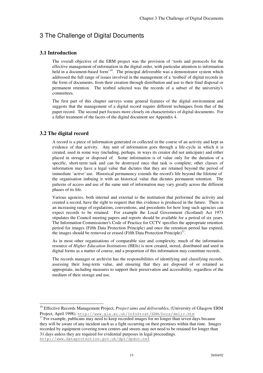# 3 The Challenge of Digital Documents

# **3.1 Introduction**

The overall objective of the ERM project was the provision of 'tools and protocols for the effective management of information in the digital order, with particular attention to information held in a document-based form<sup>'10</sup>. The principal deliverable was a demonstrator system which addressed the full range of issues involved in the management of a 'testbed' of digital records in the form of documents, from their creation through distribution and use to their final disposal or permanent retention. The testbed selected was the records of a subset of the university's committees.

The first part of this chapter surveys some general features of the digital environment and suggests that the management of a digital record require different techniques from that of the paper record. The second part focuses more closely on characteristics of digital documents. For a fuller treatment of the facets of the digital document see Appendix 4.

# **3.2 The digital record**

 $\overline{a}$ 

A record is a piece of information generated or collected in the course of an activity and kept as evidence of that activity. Any unit of information goes through a life-cycle in which it is created, used in some way (including, perhaps, in ways its creator did not anticipate) and either placed in storage or disposed of. Some information is of value only for the duration of a specific, short-term task and can be destroyed once that task is complete; other classes of information may have a legal value that dictates that they are retained beyond the period of immediate 'active' use. Historical permanency extends the record's life beyond the lifetime of the organisation imbuing it with an historical value that dictates permanent retention. The patterns of access and use of the same unit of information may vary greatly across the different phases of its life.

Various agencies, both internal and external to the institution that performed the activity and created a record, have the right to request that this evidence is produced in the future. There is an increasing range of regulations, conventions, and precedents for how long such agencies can expect records to be retained. For example the Local Government (Scotland) Act 1973 stipulates the Council meeting papers and reports should be available for a period of six years. The Information Commissioner's Code of Practice for CCTV specifies the appropriate retention period for images (Fifth Data Protection Principle) and once the retention period has expired, the images should be removed or erased (Fifth Data Protection Principle)<sup>11</sup>.

As in most other organisations of comparable size and complexity, much of the information resource of *Higher Education Institutions* (HEIs) is now created, stored, distributed and used in digital forms as a matter of course, and a proportion of this information may constitute records.

The records manager or archivist has the responsibilities of identifying and classifying records, assessing their long-term value, and ensuring that they are disposed of or retained as appropriate, including measures to support their preservation and accessibility, regardless of the medium of their storage and use.

http://www.dataprotection.gov.uk/dpr/dpdoc.nsf

<sup>&</sup>lt;sup>10</sup> Effective Records Management Project, Project aims and deliverables, (University of Glasgow ERM Project, April 1998). http://www.gla.ac.uk/InfoStrat/ERM/Docs/deliv.htm

 $<sup>11</sup>$  For example, publicans may need to keep recorded images for no longer than seven days because</sup> they will be aware of any incident such as a fight occurring on their premises within that time. Images recorded by equipment covering town centres and streets may not need to be retained for longer than 31 days unless they are required for evidential purposes in legal proceedings.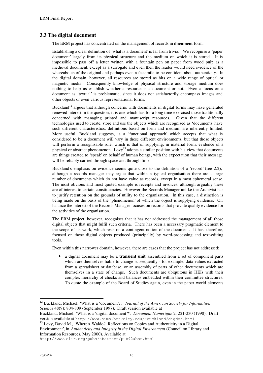# **3.3 The digital document**

The ERM project has concentrated on the management of records in **document** form.

Establishing a clear definition of 'what is a document' is far from trivial. We recognise a 'paper document' largely from its physical structure and the medium on which it is stored. It is impossible to pass off a letter written with a fountain pen on paper from wood pulp as a medieval document, except as a surrogate and even then the reader would need evidence of the whereabouts of the original and perhaps even a facsimile to be confident about authenticity. In the digital domain, however, all resources are stored as bits on a wide range of optical or magnetic media. Consequently knowledge of physical structure and storage medium does nothing to help us establish whether a resource is a document or not. Even a focus on a document as 'textual' is problematic, since it does not satisfactorily encompass images and other objects or even various representational forms.

Buckland<sup>12</sup> argues that although concerns with documents in digital forms may have generated renewed interest in the question, it is one which has for a long time exercised those traditionally concerned with managing printed and manuscript resources. Given that the different technologies used to create, store and use the objects which are recognised as 'documents' have such different characteristics, definitions based on form and medium are inherently limited. More useful, Buckland suggests, is a 'functional approach' which accepts that what is considered to be a document will vary in these different environments, but that those objects will perform a recognisable role, which is that of supplying, in material form, evidence of a physical or abstract phenomenon. Levy<sup>13</sup> adopts a similar position with his view that documents are things created to 'speak' on behalf of human beings, with the expectation that their message will be reliably carried through space and through time.

Buckland's emphasis on evidence seems quite close to the definition of a 'record' (see 2.2), although a records manager may argue that within a typical organisation there are a large number of documents which do not have value as records, except in a most ephemeral sense. The most obvious and most quoted example is receipts and invoices, although arguably these are of interest to certain constituencies. However the Records Manager unlike the Archivist has to justify retention on the grounds of utility to the organisation. In this case, a distinction is being made on the basis of the 'phenomenon' of which the object is supplying evidence. On balance the interest of the Records Manager focuses on records that provide quality evidence for the activities of the organisation.

The ERM project, however, recognises that it has not addressed the management of all those digital objects that might fulfil such criteria. There has been a necessary pragmatic element to the scope of its work, which rests on a contingent notion of the document. It has, therefore, focused on those digital objects produced (principally) by word-processing and text-editing tools.

Even within this narrower domain, however, there are cases that the project has not addressed:

• a digital document may be a **transient unit** assembled from a set of component parts which are themselves liable to change subsequently - for example, data values extracted from a spreadsheet or database, or an assembly of parts of other documents which are themselves in a state of change. Such documents are ubiquitous in HEIs with their complex hierarchy of checks and balances embedded within their committee structures. To quote the example of the Board of Studies again, even in the paper world elements

Buckland, Michael, 'What is a 'digital document'?', *Document Numerique* 2: 221-230 (1998). Draft version available at http://www.sims.berkeley.edu/~buckland/digdoc.html

 $\overline{a}$ 

<sup>12</sup> Buckland, Michael, 'What is a 'document'?', *Journal of the American Society for Information Science* 48(9): 804-809 (September 1997). Draft version available at

<sup>&</sup>lt;sup>13</sup> Levy, David M., 'Where's Waldo? Reflections on Copies and Authenticity in a Digital Environment', in *Authenticity and Integrity in the Digital Environment* (Council on Library and Information Resources, May 2000). Available at

http://www.clir.org/pubs/abstract/pub92abst.html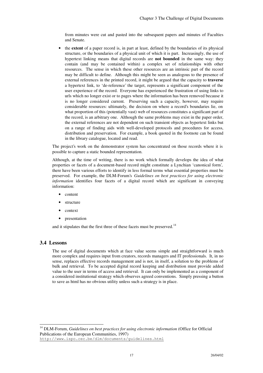from minutes were cut and pasted into the subsequent papers and minutes of Faculties and Senate.

• the **extent** of a paper record is, in part at least, defined by the boundaries of its physical structure, or the boundaries of a physical unit of which it is part. Increasingly, the use of hypertext linking means that digital records are **not bounded** in the same way: they contain (and may be contained within) a complex set of relationships with other resources. The sense in which these other resources are an intrinsic part of the record may be difficult to define. Although this might be seen as analogous to the presence of external references in the printed record, it might be argued that the capacity to **traverse** a hypertext link, to 'de-reference' the target, represents a significant component of the user experience of the record. Everyone has experienced the frustration of using links to urls which no longer exist or to pages where the information has been removed because it is no longer considered current. Preserving such a capacity, however, may require considerable resources: ultimately, the decision on where a record's boundaries lie, on what proportion of this (potentially vast) web of resources constitutes a significant part of the record, is an arbitrary one. Although the same problems may exist in the paper order, the external references are not dependent on such transient objects as hypertext links but on a range of finding aids with well-developed protocols and procedures for access, distribution and preservation. For example, a book quoted in the footnote can be found in the library catalogue, located and read.

The project's work on the demonstrator system has concentrated on those records where it is possible to capture a static bounded representation.

Although, at the time of writing, there is no work which formally develops the idea of what properties or facets of a document-based record might constitute a Lynchian 'canonical form', there have been various efforts to identify in less formal terms what essential properties must be preserved. For example, the DLM-Forum's *Guidelines on best practices for using electronic information* identifies four facets of a digital record which are significant in conveying information:

- content
- structure
- context
- presentation

and it stipulates that the first three of these facets must be preserved.<sup>14</sup>

# **3.4 Lessons**

The use of digital documents which at face value seems simple and straightforward is much more complex and requires input from creators, records managers and IT professionals. It, in no sense, replaces effective records management and is not, in itself, a solution to the problems of bulk and retrieval. To be accepted digital record keeping and distribution must provide added value to the user in terms of access and retrieval. It can only be implemented as a component of a considered institutional strategy which observes agreed conventions. Simply pressing a button to save as html has no obvious utility unless such a strategy is in place.

 $\overline{a}$ <sup>14</sup> DLM-Forum, *Guidelines on best practices for using electronic information* (Office for Official Publications of the European Communities, 1997)

http://www.ispo.cec.be/dlm/documents/guidelines.html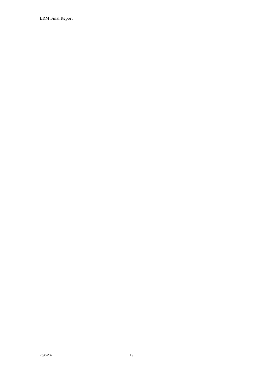ERM Final Report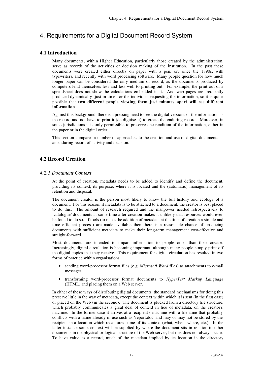# 4. Requirements for a Digital Document Record System

# **4.1 Introduction**

Many documents, within Higher Education, particularly those created by the administration, serve as records of the activities or decision making of the institution. In the past these documents were created either directly on paper with a pen, or, since the 1890s, with typewriters, and recently with word processing software. Many people question for how much longer paper can be considered the only medium of record, as the documents produced by computers lend themselves less and less well to printing out. For example, the print out of a spreadsheet does not show the calculations embedded in it. And web pages are frequently produced dynamically 'just in time' for the individual requesting the information, so it is quite possible that **two different people viewing them just minutes apart will see different information**.

Against this background, there is a pressing need to see the digital versions of the information as the record and not have to print it (de-digitise it) to create the enduring record. Moreover, in some jurisdictions it is only permissible to preserve one rendition of the information, either in the paper or in the digital order.

This section compares a number of approaches to the creation and use of digital documents as an enduring record of activity and decision.

# **4.2 Record Creation**

# *4.2.1 Document Context*

At the point of creation, metadata needs to be added to identify and define the document, providing its context, its purpose, where it is located and the (automatic) management of its retention and disposal.

The document creator is the person most likely to know the full history and ecology of a document. For this reason, if metadata is to be attached to a document, the creator is best placed to do this. The amount of research required and the manpower needed retrospectively to 'catalogue' documents at some time after creation makes it unlikely that resources would ever be found to do so. If tools (to make the addition of metadata at the time of creation a simple and time efficient process) are made available then there is a reasonable chance of producing documents with sufficient metadata to make their long-term management cost-effective and straight-forward.

Most documents are intended to impart information to people other than their creator. Increasingly, digital circulation is becoming important, although many people simply print off the digital copies that they receive. This requirement for digital circulation has resulted in two forms of practice within organisations:

- sending word-processor format files (e.g. *Microsoft Word* files) as attachments to e-mail messages
- transforming word-processor format documents to *HyperText Markup Language* (HTML) and placing them on a Web server.

In either of these ways of distributing digital documents, the standard mechanisms for doing this preserve little in the way of metadata, except the context within which it is sent (in the first case) or placed on the Web (in the second). The document is plucked from a directory file structure, which probably communicates a great deal of context in lieu of metadata, on the creator's machine. In the former case it arrives at a recipient's machine with a filename that probably conflicts with a name already in use such as 'report.doc' and may or may not be stored by the recipient in a location which recaptures some of its context (what, when, where, etc.). In the latter instance some context will be supplied by where the document sits in relation to other documents in the physical or logical structure of the Web server, but this does not always occur. To have value as a record, much of the metadata implied by its location in the directory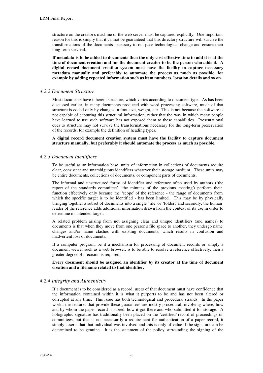structure on the creator's machine or the web server must be captured explicitly. One important reason for this is simply that it cannot be guaranteed that this directory structure will survive the transformations of the documents necessary to out-pace technological change and ensure their long-term survival.

**If metadata is to be added to documents then the only cost-effective time to add it is at the time of document creation and for the document creator to be the person who adds it. A digital record document creation system must have the facility to capture necessary metadata manually and preferably to automate the process as much as possible, for example by adding repeated information such as item numbers, location details and so on.**

# *4.2.2 Document Structure*

Most documents have inherent structure, which varies according to document type. As has been discussed earlier, in many documents produced with word processing software, much of that structure is coded only by changes in font size, weight, etc. This is not because the software is not capable of capturing this structural information, rather that the way in which many people have learned to use such software has not exposed them to these capabilities. Presentational cues to structure may not survive the transformations necessary for the long-term preservation of the records, for example the definition of heading types.

**A digital record document creation system must have the facility to capture document structure manually, but preferably it should automate the process as much as possible.**

# *4.2.3 Document Identifiers*

To be useful as an information base, units of information in collections of documents require clear, consistent and unambiguous identifiers whatever their storage medium. These units may be entire documents, collections of documents, or component parts of documents.

The informal and unstructured forms of identifier and reference often used by authors ('the report of the standards committee', 'the minutes of the previous meeting') perform their function effectively only because the 'scope' of the reference - the range of documents from which the specific target is to be identified - has been limited. This may be by physically bringing together a subset of documents into a single 'file' or 'folder', and secondly, the human reader of the reference adds additional information drawn from the context of its use in order to determine its intended target.

A related problem arising from not assigning clear and unique identifiers (and names) to documents is that when they move from one person's file space to another, they undergo name changes and/or name clashes with existing documents, which results in confusion and inadvertent loss of documents.

If a computer program, be it a mechanism for processing of document records or simply a document viewer such as a web browser, is to be able to resolve a reference effectively, then a greater degree of precision is required.

#### **Every document should be assigned an identifier by its creator at the time of document creation and a filename related to that identifier.**

# *4.2.4 Integrity and Authenticity*

If a document is to be considered as a record, users of that document must have confidence that the information contained within it is what it purports to be and has not been altered or corrupted at any time. This issue has both technological and procedural strands. In the paper world, the features that provide these guarantees are mostly procedural, involving where, how and by whom the paper record is stored, how it got there and who submitted it for storage. A holographic signature has traditionally been placed on the 'certified' record of proceedings of committees, but that is not necessarily a requirement for authentication of a paper record, it simply asserts that that individual was involved and this is only of value if the signature can be determined to be genuine. It is the statement of the policy surrounding the signing of the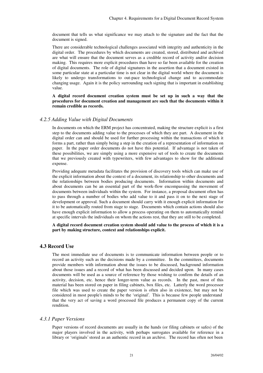document that tells us what significance we may attach to the signature and the fact that the document is signed.

There are considerable technological challenges associated with integrity and authenticity in the digital order. The procedures by which documents are created, stored, distributed and archived are what will ensure that the document serves as a credible record of activity and/or decision making. This requires more explicit procedures than have so far been available for the creation of digital documents. The role of digital signatures in the assertion that a document existed in some particular state at a particular time is not clear in the digital world where the document is likely to undergo transformations to out-pace technological change and to accommodate changing usage. Again it is the policy surrounding such signing that is important in establishing value.

**A digital record document creation system must be set up in such a way that the procedures for document creation and management are such that the documents within it remain credible as records.**

# *4.2.5 Adding Value with Digital Documents*

In documents on which the ERM project has concentrated, making the structure explicit is a first step to the documents adding value to the processes of which they are part. A document in the digital order can and should be used for further processing within the transactions of which it forms a part, rather than simply being a step in the creation of a representation of information on paper. In the paper order documents do not have this potential. If advantage is not taken of these possibilities, we are simply using a more expensive set of tools to create the documents that we previously created with typewriters, with few advantages to show for the additional expense.

Providing adequate metadata facilitates the provision of discovery tools which can make use of the explicit information about the context of a document, its relationship to other documents and the relationships between bodies producing documents. Information within documents and about documents can be an essential part of the work-flow encompassing the movement of documents between individuals within the system. For instance, a proposal document often has to pass through a number of bodies who add value to it and pass it on to the next stage of development or approval. Such a document should carry with it enough explicit information for it to be automatically routed from stage to stage. Documents which contain actions should also have enough explicit information to allow a process operating on them to automatically remind at specific intervals the individuals on whom the actions rest, that they are still to be completed.

**A digital record document creation system should add value to the process of which it is a part by making structure, context and relationships explicit.**

#### **4.3 Record Use**

The most immediate use of documents is to communicate information between people or to record an activity such as the decisions made by a committee. In the committees, documents provide members with information about the issues to be discussed, background information about those issues and a record of what has been discussed and decided upon. In many cases documents will be used as a source of reference by those wishing to confirm the details of an activity, decision, etc. hence their longer-term value as records. In the past, most of this material has been stored on paper in filing cabinets, box files, etc. Latterly the word processor file which was used to create the paper version is often also in existence, but may not be considered in most people's minds to be the 'original'. This is because few people understand that the very act of saving a word processed file produces a permanent copy of the current rendition.

# *4.3.1 Paper Versions*

Paper versions of record documents are usually in the hands (or filing cabinets or safes) of the major players involved in the activity, with perhaps surrogates available for reference in a library or 'originals' stored as an authentic record in an archive. The record has often not been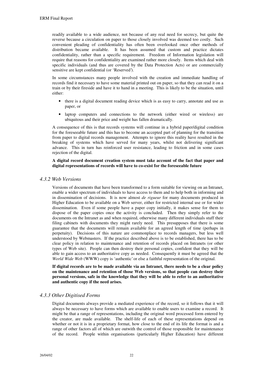readily available to a wide audience, not because of any real need for secrecy, but quite the reverse because a circulation on paper to those closely involved was deemed too costly. Such convenient pleading of confidentiality has often been overlooked once other methods of distribution became available. It has been assumed that custom and practice dictates confidentiality, rather than a specific requirement. Freedom of Information legislation will require that reasons for confidentiality are examined rather more closely. Items which deal with specific individuals (and thus are covered by the Data Protection Acts) or are commercially sensitive are kept confidential (or 'Reserved').

In some circumstances many people involved with the creation and immediate handling of records find it necessary to have some material printed out on paper, so that they can read it on a train or by their fireside and have it to hand in a meeting. This is likely to be the situation, until either:

- there is a digital document reading device which is as easy to carry, annotate and use as paper, or
- laptop computers and connections to the network (either wired or wireless) are ubiquitous and their price and weight has fallen dramatically.

A consequence of this is that records systems will continue in a hybrid paper/digital condition for the foreseeable future and this has to become an accepted part of planning for the transition from paper to digital records management. Attempts to ignore this reality have resulted in the breaking of systems which have served for many years, whilst not delivering significant advance. This in turn has reinforced user resistance, leading to friction and in some cases rejection of the digital.

#### **A digital record document creation system must take account of the fact that paper and digital representations of records will have to co-exist for the foreseeable future**

# *4.3.2 Web Versions*

Versions of documents that have been transformed to a form suitable for viewing on an Intranet, enable a wider spectrum of individuals to have access to them and to help both in informing and in dissemination of decisions. It is now almost *de rigueur* for many documents produced in Higher Education to be available on a Web server, either for restricted internal use or for wider dissemination. Even if some people have a paper copy initially, it makes sense for them to dispose of the paper copies once the activity is concluded. Then they simply refer to the documents on the Intranet as and when required, otherwise many different individuals stuff their filing cabinets with documents they might rarely need. This presupposes that there is some guarantee that the documents will remain available for an agreed length of time (perhaps in perpetuity). Decisions of this nature are commonplace to records managers, but less well understood by Webmasters. If the practice described above is to be established, there has to be clear policy in relation to maintenance and retention of records placed on Intranets (or other types of Web site). People can then destroy their personal copies, confident that they will be able to gain access to an authoritative copy as needed. Consequently it must be agreed that the *World Wide Web* (WWW) copy is 'authentic' or else a faithful representation of the original.

**If digital records are to be made available via an Intranet, there needs to be a clear policy on the maintenance and retention of those Web versions, so that people can destroy their personal versions, safe in the knowledge that they will be able to refer to an authoritative and authentic copy if the need arises.**

#### *4.3.3 Other Digitised Forms*

Digital documents always provide a mediated experience of the record, so it follows that it will always be necessary to have forms which are available to enable users to examine a record. It might be that a range of representations, including the original word processed form entered by the creator, are made available. The shelf-life of each of these representations depend on whether or not it is in a proprietary format, how close to the end of its life the format is and a range of other factors all of which are outwith the control of those responsible for maintenance of the record. People within organisations (particularly Higher Education) have different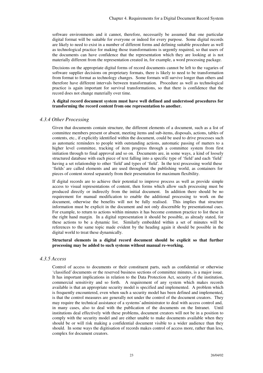software environments and it cannot, therefore, necessarily be assumed that one particular digital format will be suitable for everyone or indeed for every purpose. Some digital records are likely to need to exist in a number of different forms and defining suitable procedure as well as technological practice for making those transformations is urgently required, so that users of the documents can have confidence that the representation which they are looking at is not materially different from the representation created in, for example, a word processing package.

Decisions on the appropriate digital forms of record documents cannot be left to the vagaries of software supplier decisions on proprietary formats, there is likely to need to be transformation from format to format as technology changes. Some formats will survive longer than others and therefore have different intervals between transformation. Procedure as well as technological practice is again important for survival transformations, so that there is confidence that the record does not change materially over time.

**A digital record document system must have well defined and understood procedures for transforming the record content from one representation to another.**

# *4.3.4 Other Processing*

Given that documents contain structure, the different elements of a document, such as a list of committee members present or absent, meeting items and sub-items, disposals, actions, tables of contents, etc., if explicitly identified within the document, could be used to drive processes such as automatic reminders to people with outstanding actions, automatic passing of matters to a higher level committee, tracking of item progress through a committee system from first initiation through to final approval and so on. Documents are, in some ways, a kind of loosely structured database with each piece of text falling into a specific type of 'field' and each 'field' having a set relationship to other 'field' and types of 'field'. In the text processing world these 'fields' are called elements and are used throughout the publishing world, as containers for pieces of content stored separately from their presentation for maximum flexibility.

If digital records are to achieve their potential to improve process as well as provide simple access to visual representations of content, then forms which allow such processing must be produced directly or indirectly from the initial document. In addition there should be no requirement for manual modification to enable the additional processing to work on the document, otherwise the benefits will not be fully realised. This implies that structure information must be explicit in the document and not only discernible by presentational cues. For example, to return to actions within minutes it has become common practice to list these in the right hand margin. In a digital representation it should be possible, as already stated, for these actions to be a dynamic list. Similarly embedded within a set of minutes will be references to the same topic made evident by the heading again it should be possible in the digital world to treat these dynamically.

**Structural elements in a digital record document should be explicit so that further processing may be added to such systems without manual re-working.**

#### *4.3.5 Access*

Control of access to documents or their constituent parts, such as confidential or otherwise 'classified' documents or the reserved business sections of committee minutes, is a major issue. It has important implications in relation to the Data Protection Act, security of the institution, commercial sensitivity and so forth. A requirement of any system which makes records available is that an appropriate security model is specified and implemented. A problem which is frequently encountered, even when such a security model has been defined and implemented, is that the control measures are generally not under the control of the document creators. They may require the technical assistance of a systems' administrator to deal with access control and, in many cases, also to deal with the publication of the documents on the Intranet. Until institutions deal effectively with these problems, document creators will not be in a position to comply with the security model and are either unable to make documents available when they should be or will risk making a confidential document visible to a wider audience than they should. In some ways the digitisation of records makes control of access more, rather than less, complex for document creators.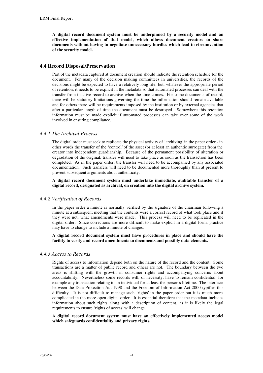**A digital record document system must be underpinned by a security model and an effective implementation of that model, which allows document creators to share documents without having to negotiate unnecessary hurdles which lead to circumvention of the security model.**

# **4.4 Record Disposal/Preservation**

Part of the metadata captured at document creation should indicate the retention schedule for the document. For many of the decision making committees in universities, the records of the decisions might be expected to have a relatively long life, but, whatever the appropriate period of retention, it needs to be explicit in the metadata so that automated processes can deal with the transfer from inactive record to archive when the time comes. For some documents of record, there will be statutory limitations governing the time the information should remain available and for others there will be requirements imposed by the institution or by external agencies that after a particular length of time the document must be destroyed. Somewhere this retention information must be made explicit if automated processes can take over some of the work involved in ensuring compliance.

# *4.4.1 The Archival Process*

The digital order must seek to replicate the physical activity of 'archiving' in the paper order - in other words the transfer of the 'control' of the asset (or at least an authentic surrogate) from the creator into independent guardianship. Because of the permanent possibility of alteration or degradation of the original, transfer will need to take place as soon as the transaction has been completed. As in the paper order, the transfer will need to be accompanied by any associated documentation. Such transfers will need to be documented more thoroughly than at present to prevent subsequent arguments about authenticity.

**A digital record document system must undertake immediate, auditable transfer of a digital record, designated as archival, on creation into the digital archive system.**

# *4.4.2 Verification of Records*

In the paper order a minute is normally verified by the signature of the chairman following a minute at a subsequent meeting that the contents were a correct record of what took place and if they were not, what amendments were made. This process will need to be replicated in the digital order. Since corrections are more difficult to make explicit in a digital form, practice may have to change to include a minute of changes.

**A digital record document system must have procedures in place and should have the facility to verify and record amendments to documents and possibly data elements.**

# *4.4.3 Access to Records*

Rights of access to information depend both on the nature of the record and the content. Some transactions are a matter of public record and others are not. The boundary between the two areas is shifting with the growth in consumer rights and accompanying concerns about accountability. Nevertheless some records will, of necessity, have to remain confidential, for example any transaction relating to an individual for at least the person's lifetime. The interface between the Data Protection Act 1998 and the Freedom of Information Act 2000 typifies this difficulty. It is not difficult to manage such 'rights' in the paper order but it is much more complicated in the more open digital order. It is essential therefore that the metadata includes information about such rights along with a description of content, as it is likely the legal requirements to ensure 'rights of access' will change.

**A digital record document system must have an effectively implemented access model which safeguards confidentiality and privacy rights.**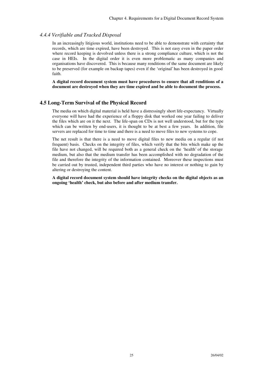#### *4.4.4 Verifiable and Tracked Disposal*

In an increasingly litigious world, institutions need to be able to demonstrate with certainty that records, which are time expired, have been destroyed. This is not easy even in the paper order where record keeping is devolved unless there is a strong compliance culture, which is not the case in HEIs. In the digital order it is even more problematic as many companies and organisations have discovered. This is because many renditions of the same document are likely to be preserved (for example on backup tapes) even if the 'original' has been destroyed in good faith.

**A digital record document system must have procedures to ensure that all renditions of a document are destroyed when they are time expired and be able to document the process.**

#### **4.5 Long-Term Survival of the Physical Record**

The media on which digital material is held have a distressingly short life-expectancy. Virtually everyone will have had the experience of a floppy disk that worked one year failing to deliver the files which are on it the next. The life-span on CDs is not well understood, but for the type which can be written by end-users, it is thought to be at best a few years. In addition, file servers are replaced for time to time and there is a need to move files to new systems to cope.

The net result is that there is a need to move digital files to new media on a regular (if not frequent) basis. Checks on the integrity of files, which verify that the bits which make up the file have not changed, will be required both as a general check on the 'health' of the storage medium, but also that the medium transfer has been accomplished with no degradation of the file and therefore the integrity of the information contained. Moreover these inspections must be carried out by trusted, independent third parties who have no interest or nothing to gain by altering or destroying the content.

**A digital record document system should have integrity checks on the digital objects as an ongoing 'health' check, but also before and after medium transfer.**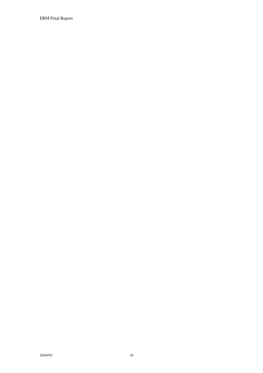ERM Final Report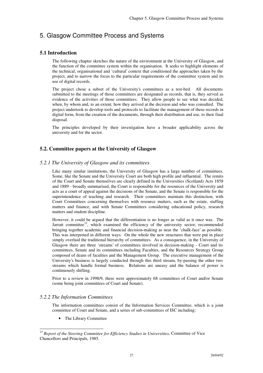# 5. Glasgow Committee Process and Systems

# **5.1 Introduction**

The following chapter sketches the nature of the environment at the University of Glasgow, and the function of the committee system within the organisation. It seeks to highlight elements of the technical, organisational and 'cultural' context that conditioned the approaches taken by the project, and to narrow the focus to the particular requirements of the committee system and its use of digital records.

The project chose a subset of the University's committees as a test-bed. All documents submitted to the meetings of those committees are designated as records, that is, they served as evidence of the activities of those committees. They allow people to see what was decided, when, by whom and, to an extent, how they arrived at the decision and who was consulted. The project undertook to develop tools and protocols to facilitate the management of these records in digital form, from the creation of the documents, through their distribution and use, to their final disposal.

The principles developed by their investigation have a broader applicability across the university and for the sector.

# **5.2. Committee papers at the University of Glasgow**

#### *5.2.1 The University of Glasgow and its committees*

Like many similar institutions, the University of Glasgow has a large number of committees. Some, like the Senate and the University Court are both high profile and influential. The remits of the Court and Senate themselves are clearly defined in the Universities (Scotland) Acts 1858 and 1889 - broadly summarised, the Court is responsible for the resources of the University and acts as a court of appeal against the decisions of the Senate, and the Senate is responsible for the superintendence of teaching and research. Their committees maintain this distinction, with Court Committees concerning themselves with resource matters, such as the estate, staffing matters and finance, and with Senate Committees considering educational policy, research matters and student discipline.

However, it could be argued that the differentiation is no longer as valid as it once was. The Jarratt committee<sup>15</sup>, which examined the efficiency of the university sector, recommended bringing together academic and financial decision-making as near the 'chalk-face' as possible. This was interpreted in different ways. On the whole the new structures that were put in place simply overlaid the traditional hierarchy of committees. As a consequence, in the University of Glasgow there are three 'streams' of committees involved in decision-making - Court and its committees, Senate and its committees including Faculties, and the Resources Strategy Group composed of deans of faculties and the Management Group. The executive management of the University's business is largely conducted through this third stream, by-passing the other two streams which handle formal business. Relations are uneasy and the balance of power is continuously shifting.

Prior to a review in 1998/9, there were approximately 68 committees of Court and/or Senate (some being joint committees of Court and Senate).

#### *5.2.2 The Information Committees*

 $\overline{a}$ 

The information committees consist of the Information Services Committee, which is a joint committee of Court and Senate, and a series of sub-committees of ISC including:

• The Library Committee

<sup>&</sup>lt;sup>15</sup> Report of the Steering Committee for Efficiency Studies in Universities, Committee of Vice Chancellors and Principals, 1985.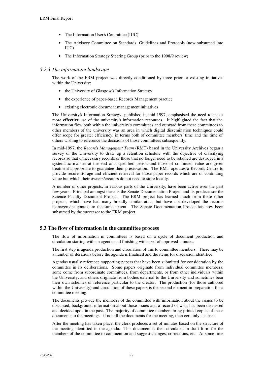- The Information User's Committee (IUC)
- The Advisory Committee on Standards, Guidelines and Protocols (now subsumed into IUC)
- The Information Strategy Steering Group (prior to the 1998/9 review)

# *5.2.3 The information landscape*

The work of the ERM project was directly conditioned by three prior or existing initiatives within the University:

- the University of Glasgow's Information Strategy
- the experience of paper-based Records Management practice
- existing electronic document management initiatives

The University's Information Strategy, published in mid-1997, emphasised the need to make more **effective** use of the university's information resources. It highlighted the fact that the information flow both within the university's committees and outward from these committees to other members of the university was an area in which digital dissemination techniques could offer scope for greater efficiency, in terms both of committee members' time and the time of others wishing to reference the decisions of those committees subsequently.

In mid-1997, the *Records Management Team* (RMT) based in the University Archives began a survey of the University to draw up a retention schedule with the objective of classifying records so that unnecessary records or those that no longer need to be retained are destroyed in a systematic manner at the end of a specified period and those of continued value are given treatment appropriate to guarantee their preservation. The RMT operates a Records Centre to provide secure storage and efficient retrieval for those paper records which are of continuing value but which their owners/creators do not need to store locally.

A number of other projects, in various parts of the University, have been active over the past few years. Principal amongst these is the Senate Documentation Project and its predecessor the Science Faculty Document Project. The ERM project has learned much from these other projects, which have had many broadly similar aims, but have not developed the records management context to the same extent. The Senate Documentation Project has now been subsumed by the successor to the ERM project.

# **5.3 The flow of information in the committee process**

The flow of information in committees is based on a cycle of document production and circulation starting with an agenda and finishing with a set of approved minutes.

The first step is agenda production and circulation of this to committee members. There may be a number of iterations before the agenda is finalised and the items for discussion identified.

Agendas usually reference supporting papers that have been submitted for consideration by the committee in its deliberations. Some papers originate from individual committee members; some come from subordinate committees, from departments, or from other individuals within the University; and others originate from bodies external to the University and sometimes bear their own schemes of reference particular to the creator. The production (for those authored within the University) and circulation of these papers is the second element in preparation for a committee meeting.

The documents provide the members of the committee with information about the issues to be discussed, background information about those issues and a record of what has been discussed and decided upon in the past. The majority of committee members bring printed copies of these documents to the meetings - if not all the documents for the meeting, then certainly a subset.

After the meeting has taken place, the clerk produces a set of minutes based on the structure of the meeting identified in the agenda. This document is then circulated in draft form for the members of the committee to comment on and suggest changes, corrections, etc. At some time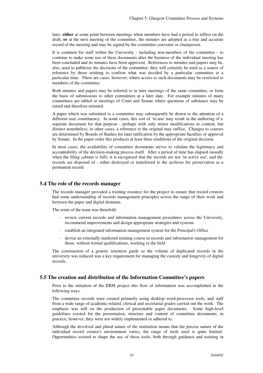later, **either** at some point between meetings when members have had a period to reflect on the draft, **or** at the next meeting of the committee, the minutes are adopted as a true and accurate record of the meeting and may be signed by the committee convenor or chairperson.

It is common for staff within the University - including non-members of the committee - to continue to make some use of these documents after the business of the individual meeting has been concluded and its minutes have been approved. References to minutes and papers may be, also, used to publicise the decisions of the committee; they will certainly be used as a source of reference by those wishing to confirm what was decided by a particular committee at a particular time. There are cases, however, where access to such documents may be restricted to members of the committee.

Both minutes and papers may be referred to in later meetings of the same committee, or form the basis of submissions to other committees at a later date. For example minutes of many committees are tabled at meetings of Court and Senate where questions of substance may be raised and therefore minuted.

A paper which was submitted to a committee may subsequently be drawn to the attention of a different user constituency. In some cases, this sort of 're-use' may result in the authoring of a separate document for that purpose - perhaps with only minor modifications to content, but distinct nonetheless; in other cases, a reference to the original may suffice. Changes to courses are determined by Boards of Studies for later ratification by the appropriate faculties or approval by Senate. In the paper order this produces at least three renditions of the original decision.

In most cases, the availability of committee documents serves to validate the legitimacy and accountability of the decision-making process itself. After a period of time has elapsed (usually when the filing cabinet is full), it is recognised that the records are not 'in active use', and the records are disposed of - either destroyed or transferred to the archives for preservation as a permanent record.

# **5.4 The role of the records manager**

The records manager provided a training resource for the project to ensure that record creators had some understanding of records management principles across the range of their work and between the paper and digital domains.

The remit of the team was threefold:

- · review current records and information management procedures across the University, recommend improvements and design appropriate strategies and systems
- · establish an integrated information management system for the Principal's Office
- devise an externally marketed training course in records and information management for those, without formal qualifications, working in the field

The construction of a generic retention guide so the volume of duplicated records in the university was reduced was a key requirement for managing the custody and longevity of digital records.

#### **5.5 The creation and distribution of the Information Committee's papers**

Prior to the initiation of the ERM project this flow of information was accomplished in the following ways.

The committee records were created primarily using desktop word-processor tools, and staff from a wide range of academic-related, clerical and secretarial grades carried out the work. The emphasis was still on the production of presentable paper documents. Some high-level guidelines existed for the presentation, structure and content of committee documents; in practice, however, they were not widely implemented or adhered to.

Although the devolved and plural nature of the institution means that the precise nature of the individual record creator's environment varies, the range of tools used is quite limited. Opportunities existed to shape the use of those tools, both through guidance and training in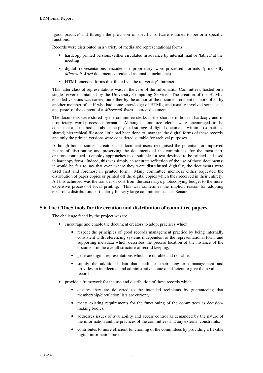'good practice' and through the provision of specific software routines to perform specific functions.

Records were distributed in a variety of media and representational forms:

- hardcopy printed versions (either circulated in advance by internal mail or 'tabled' at the meeting)
- digital representations encoded in proprietary word-processed formats (principally *Microsoft Word* documents circulated as email attachments)
- HTML-encoded forms distributed via the university's Intranet

This latter class of representations was, in the case of the Information Committees, hosted on a single server maintained by the University Computing Service. The creation of the HTMLencoded versions was carried out either by the author of the document content or more often by another member of staff who had some knowledge of HTML, and usually involved some 'cutand-paste' of the content of a *Microsoft Word* 'source' document.

The documents were stored by the committee clerks in the short-term both in hardcopy and in proprietary word-processed format. Although committee clerks were encouraged to be consistent and methodical about the physical storage of digital documents within a (sometimes shared) hierarchical filestore, little had been done to 'manage' the digital forms of these records and only the printed versions were considered suitable for archival purposes.

Although both document creators and document users recognised the potential for improved means of distributing and preserving the documents of the committees, for the most part, creators continued to employ approaches most suitable for text destined to be printed and used in hardcopy form. Indeed, this was simply an accurate reflection of the use of those documents: it would be fair to say that even where they were **distributed** digitally, the documents were **used** first and foremost in printed form. Many committee members either requested the distribution of paper copies or printed off the digital copies which they received in their entirety. All this achieved was the transfer of cost from the secretary's photocopying budget to the more expensive process of local printing. This was sometimes the implicit reason for adopting electronic distribution, particularly for very large committees such as Senate.

# **5.6 The CDocS tools for the creation and distribution of committee papers**

The challenge faced by the project was to:

- encourage and enable the document creators to adopt practices which
	- respect the principles of good records management practice by being internally consistent with referencing systems independent of the representational form, and supporting metadata which describes the precise location of the instance of the document in the overall structure of record keeping,
	- generate digital representations which are durable and reusable,
	- supply the additional data that facilitates their long-term management and provides an intellectual and administrative context sufficient to give them value as records
- provide a framework for the use and distribution of these records which
	- ensures they are delivered to the intended recipients by guaranteeing that membership/circulation lists are current,
	- meets existing requirements for the functioning of the committees as decisionmaking bodies,
	- addresses issues of availability and access control as demanded by the nature of the information and the practices of the committees and any external constraints,
	- contributes to more efficient functioning of the committees by providing a flexible digital information base,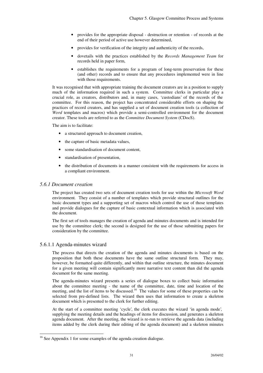- provides for the appropriate disposal destruction or retention of records at the end of their period of active use however determined,
- provides for verification of the integrity and authenticity of the records,
- dovetails with the practices established by the *Records Management Team* for records held in paper form,
- establishes the requirements for a program of long-term preservation for these (and other) records and to ensure that any procedures implemented were in line with those requirements.

It was recognised that with appropriate training the document creators are in a position to supply much of the information required in such a system. Committee clerks in particular play a crucial role, as creators, distributors and, in many cases, 'custodians' of the records of the committee. For this reason, the project has concentrated considerable efforts on shaping the practices of record creators, and has supplied a set of document creation tools (a collection of *Word* templates and macros) which provide a semi-controlled environment for the document creator. These tools are referred to as the *Committee Document System* (CDocS).

The aim is to facilitate:

- a structured approach to document creation,
- the capture of basic metadata values,
- some standardisation of document content,
- standardisation of presentation,
- the distribution of documents in a manner consistent with the requirements for access in a compliant environment.

# *5.6.1 Document creation*

The project has created two sets of document creation tools for use within the *Microsoft Word* environment. They consist of a number of templates which provide structural outlines for the basic document types and a supporting set of macros which control the use of those templates and provide dialogues for the capture of basic contextual information which is associated with the document.

The first set of tools manages the creation of agenda and minutes documents and is intended for use by the committee clerk; the second is designed for the use of those submitting papers for consideration by the committee.

# 5.6.1.1 Agenda-minutes wizard

 $\overline{a}$ 

The process that directs the creation of the agenda and minutes documents is based on the proposition that both these documents have the same outline structural form. They may, however, be formatted quite differently, and within that outline structure, the minutes document for a given meeting will contain significantly more narrative text content than did the agenda document for the same meeting.

The agenda-minutes wizard presents a series of dialogue boxes to collect basic information about the committee meeting - the name of the committee, date, time and location of the meeting, and the list of items to be discussed.<sup>16</sup> The values for some of these properties can be selected from pre-defined lists. The wizard then uses that information to create a skeleton document which is presented to the clerk for further editing.

At the start of a committee meeting 'cycle', the clerk executes the wizard 'in agenda mode', supplying the meeting details and the headings of items for discussion, and generates a skeleton agenda document. After the meeting, the wizard is re-run to retrieve the agenda data (including items added by the clerk during their editing of the agenda document) and a skeleton minutes

 $16$  See Appendix 1 for some examples of the agenda creation dialogue.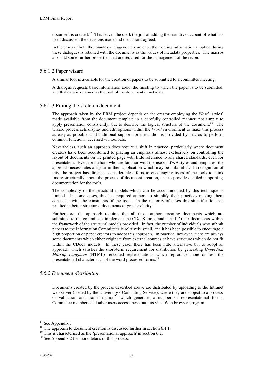document is created.<sup>17</sup> This leaves the clerk the job of adding the narrative account of what has been discussed, the decisions made and the actions agreed.

In the cases of both the minutes and agenda documents, the meeting information supplied during these dialogues is retained with the documents as the values of metadata properties. The macros also add some further properties that are required for the management of the record.

# 5.6.1.2 Paper wizard

A similar tool is available for the creation of papers to be submitted to a committee meeting.

A dialogue requests basic information about the meeting to which the paper is to be submitted, and that data is retained as the part of the document's metadata.

# 5.6.1.3 Editing the skeleton document

The approach taken by the ERM project depends on the creator employing the *Word* 'styles' made available from the document template in a carefully controlled manner, not simply to apply presentation consistently, but to describe the logical structure of the document.<sup>18</sup> The wizard process sets display and edit options within the *Word* environment to make this process as easy as possible, and additional support for the author is provided by macros to perform common functions, accessed via toolbars.

Nevertheless, such an approach does require a shift in practice, particularly where document creators have been accustomed to placing an emphasis almost exclusively on controlling the layout of documents on the printed page with little reference to any shared standards, even for presentation. Even for authors who are familiar with the use of *Word* styles and templates, the approach necessitates a rigour in their application which may be unfamiliar. In recognition of this, the project has directed considerable efforts to encouraging users of the tools to think 'more structurally' about the process of document creation, and to provide detailed supporting documentation for the tools.

The complexity of the structural models which can be accommodated by this technique is limited. In some cases, this has required authors to simplify their practices making them consistent with the constraints of the tools. In the majority of cases this simplification has resulted in better structured documents of greater clarity.

Furthermore, the approach requires that all those authors creating documents which are submitted to the committees implement the CDocS tools, and can 'fit' their documents within the framework of the structural models provided. In fact, the number of individuals who submit papers to the Information Committees is relatively small, and it has been possible to encourage a high proportion of paper creators to adopt this approach. In practice, however, there are always some documents which either originate from external sources or have structures which do not fit within the CDocS models. In these cases there has been little alternative but to adopt an approach which satisfies the short-term requirement for distribution by generating *HyperText Markup Language* (HTML) -encoded representations which reproduce more or less the presentational characteristics of the word processed forms.<sup>19</sup>

# *5.6.2 Document distribution*

Documents created by the process described above are distributed by uploading to the Intranet web server (hosted by the University's Computing Service), where they are subject to a process of validation and transformation<sup>20</sup> which generates a number of representational forms. Committee members and other users access these outputs via a Web browser program.

 $\overline{a}$ 

 $17$  See Appendix 1

 $18$ <sup>18</sup> The approach to document creation is discussed further in section 6.4.1.

 $19$  This is characterised as the 'presentational approach' in section 6.2.

 $20$  See Appendix 2 for more details of this process.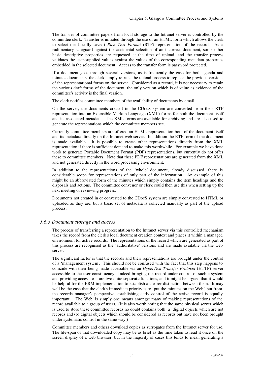The transfer of committee papers from local storage to the Intranet server is controlled by the committee clerk. Transfer is initiated through the use of an HTML form which allows the clerk to select the (locally saved) *Rich Text Format* (RTF) representation of the record. As a rudimentary safeguard against the accidental selection of an incorrect document, some other basic descriptive properties are requested at the time of upload, and the transfer process validates the user-supplied values against the values of the corresponding metadata properties embedded in the selected document. Access to the transfer form is password protected.

If a document goes through several versions, as is frequently the case for both agenda and minutes documents, the clerk simply re-runs the upload process to replace the previous versions of the representational forms on the server. Considered as a record, it is not necessary to retain the various draft forms of the document: the only version which is of value as evidence of the committee's activity is the final version.

The clerk notifies committee members of the availability of documents by email.

On the server, the documents created in the CDocS system are converted from their RTF representation into an Extensible Markup Language (XML) forms for both the document itself and its associated metadata. The XML forms are available for archiving and are also used to generate the representations which the committee members see.

Currently committee members are offered an HTML representation both of the document itself and its metadata directly on the Intranet web server. In addition the RTF form of the document is made available. It is possible to create other representations directly from the XML representation if there is sufficient demand to make this worthwhile. For example we have done work to generate Portable Document Format (PDF) representations, but currently do not offer these to committee members. Note that these PDF representations are generated from the XML and not generated directly in the word processing environment.

In addition to the representations of the 'whole' document, already discussed, there is considerable scope for representations of only part of the information. An example of this might be an abbreviated form of the minutes which simply contains the item headings and the disposals and actions. The committee convenor or clerk could then use this when setting up the next meeting or reviewing progress.

Documents not created in or converted to the CDocS system are simply converted to HTML or uploaded as they are, but a basic set of metadata is collected manually as part of the upload process.

#### *5.6.3 Document storage and access*

The process of transferring a representation to the Intranet server via this controlled mechanism takes the record from the clerk's local document creation context and places it within a managed environment for active records. The representations of the record which are generated as part of this process are recognised as the 'authoritative' versions and are made available via the web server.

The significant factor is that the records and their representations are brought under the control of a 'management system'. This should not be confused with the fact that this step happens to coincide with their being made accessible via an *HyperText Transfer Protocol* (HTTP) server accessible to the user constituency. Indeed bringing the record under control of such a system and providing access to it are two quite **separate** functions, and it might be argued that it would be helpful for the ERM implementation to establish a clearer distinction between them. It may well be the case that the clerk's immediate priority is to 'put the minutes on the Web', but from the records manager's perspective, establishing early control of the active record is equally important. 'The Web' is simply one means amongst many of making representations of the record available to a group of users. (It is also worth noting that the same physical server which is used to store these committee records no doubt contains both (a) digital objects which are not records and (b) digital objects which should be considered as records but have not been brought under systematic control in the same way.)

Committee members and others download copies as surrogates from the Intranet server for use. The life-span of that downloaded copy may be as brief as the time taken to read it once on the screen display of a web browser, but in the majority of cases this tends to mean generating a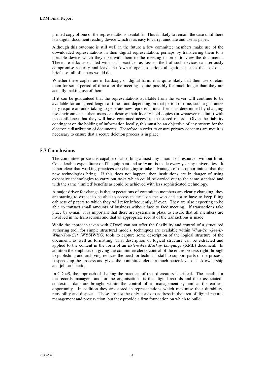printed copy of one of the representations available. This is likely to remain the case until there is a digital document reading device which is as easy to carry, annotate and use as paper.

Although this outcome is still well in the future a few committee members make use of the downloaded representations in their digital representation, perhaps by transferring them to a portable device which they take with them to the meeting in order to view the documents. There are risks associated with such practices as loss or theft of such devices can seriously compromise security and leave the 'owner' open to serious allegations just as the loss of a briefcase full of papers would do.

Whether these copies are in hardcopy or digital form, it is quite likely that their users retain them for some period of time after the meeting - quite possibly for much longer than they are actually making use of them.

If it can be guaranteed that the representations available from the server will continue to be available for an agreed length of time - and depending on that period of time, such a guarantee may require an undertaking to generate new representational forms as determined by changing use environments - then users can destroy their locally-held copies (in whatever medium) with the confidence that they will have continued access to the stored record. Given the liability contingent on the holding of information locally, this must be an objective of any system for the electronic distribution of documents. Therefore in order to ensure privacy concerns are met it is necessary to ensure that a secure deletion process is in place.

# **5.7 Conclusions**

The committee process is capable of absorbing almost any amount of resources without limit. Considerable expenditure on IT equipment and software is made every year by universities. It is not clear that working practices are changing to take advantage of the opportunities that the new technologies bring. If this does not happen, then institutions are in danger of using expensive technologies to carry out tasks which could be carried out to the same standard and with the same 'limited' benefits as could be achieved with less sophisticated technology.

A major driver for change is that expectations of committee members are clearly changing; they are starting to expect to be able to access material on the web and not to have to keep filing cabinets of papers to which they will refer infrequently, if ever. They are also expecting to be able to transact small amounts of business without face to face meeting. If transactions take place by e-mail, it is important that there are systems in place to ensure that all members are involved in the transactions and that an appropriate record of the transactions is made.

While the approach taken with CDocS can not offer the flexibility and control of a structured authoring tool, for simple structural models, techniques are available within *What-You-See-Is-What-You-Get* (WYSIWYG) tools to capture some description of the logical structure of the document, as well as formatting. That description of logical structure can be extracted and applied to the content in the form of an *Extensible Markup Language* (XML) document. In addition the emphasis on giving the committee clerks control of the entire process right through to publishing and archiving reduces the need for technical staff to support parts of the process. It speeds up the process and gives the committee clerks a much better level of task ownership and job satisfaction.

In CDocS, the approach of shaping the practices of record creators is critical. The benefit for the records manager - and for the organisation - is that digital records and their associated contextual data are brought within the control of a 'management system' at the earliest opportunity. In addition they are stored in representations which maximise their durability, reusability and disposal. These are not the only issues to address in the area of digital records management and preservation, but they provide a firm foundation on which to build.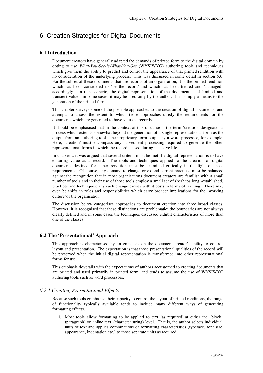# 6. Creation Strategies for Digital Documents

# **6.1 Introduction**

Document creators have generally adapted the demands of printed form to the digital domain by opting to use *What-You-See-Is-What-You-Get* (WYSIWYG) authoring tools and techniques which give them the ability to predict and control the appearance of that printed rendition with no consideration of the underlying process. This was discussed in some detail in section 5.6. For the subset of these documents that are records of an organisation, it is the printed rendition which has been considered to 'be the record' and which has been treated and 'managed' accordingly. In this scenario, the digital representation of the document is of limited and transient value - in some cases, it may be used only by the author. It is simply a means to the generation of the printed form.

This chapter surveys some of the possible approaches to the creation of digital documents, and attempts to assess the extent to which those approaches satisfy the requirements for the documents which are generated to have value as records.

It should be emphasised that in the context of this discussion, the term 'creation' designates a process which extends somewhat beyond the generation of a single representational form as the output from an authoring tool - the proprietary form output by a word processor, for example. Here, 'creation' must encompass any subsequent processing required to generate the other representational forms in which the record is used during its active life.

In chapter 2 it was argued that several criteria must be met if a digital representation is to have enduring value as a record. The tools and techniques applied to the creation of digital documents destined for paper rendition must be examined critically in the light of these requirements. Of course, any demand to change or extend current practices must be balanced against the recognition that in most organisations document creators are familiar with a small number of tools and in their use of those tools employ a small set of (perhaps long -established) practices and techniques: any such change carries with it costs in terms of training. There may even be shifts in roles and responsibilities which carry broader implications for the 'working culture' of the organisation.

The discussion below categorises approaches to document creation into three broad classes. However, it is recognised that these distinctions are problematic: the boundaries are not always clearly defined and in some cases the techniques discussed exhibit characteristics of more than one of the classes.

# **6.2 The 'Presentational' Approach**

This approach is characterised by an emphasis on the document creator's ability to control layout and presentation. The expectation is that those presentational qualities of the record will be preserved when the initial digital representation is transformed into other representational forms for use.

This emphasis dovetails with the expectations of authors accustomed to creating documents that are printed and used primarily in printed form, and tends to assume the use of WYSIWYG authoring tools such as word processors.

# *6.2.1 Creating Presentational Effects*

Because such tools emphasise their capacity to control the layout of printed renditions, the range of functionality typically available tends to include many different ways of generating formatting effects.

i. Most tools allow formatting to be applied to text 'as required' at either the 'block' (paragraph) or 'inline text' (character string) level. That is, the author selects individual units of text and applies combinations of formatting characteristics (typeface, font size, appearance, indentation etc.) to those separate units as required.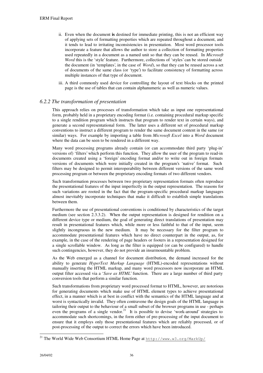- ii. Even when the document **is** destined for immediate printing, this is not an efficient way of applying sets of formatting properties which are repeated throughout a document, and it tends to lead to irritating inconsistencies in presentation. Most word processor tools incorporate a feature that allows the author to store a collection of formatting properties used repeatedly in a document as a named unit so that they can be reused. In *Microsoft Word* this is the 'style' feature. Furthermore, collections of 'styles' can be stored outside the document (in 'templates', in the case of *Word*), so that they can be reused across a set of documents of the same class (or 'type') to facilitate consistency of formatting across multiple instances of that type of document.
- iii. A third commonly used device for controlling the layout of text blocks on the printed page is the use of tables that can contain alphanumeric as well as numeric values.

# *6.2.2 The transformation of presentation*

This approach relies on processes of transformation which take as input one representational form, probably held in a proprietary encoding format (i.e. containing procedural markup specific to a single rendition program which instructs that program to render text in certain ways), and generate a second representational form. The latter uses a different set of procedural markup conventions to instruct a different program to render the same document content in the same (or similar) ways. For example by importing a table from *Microsoft Excel* into a *Word* document where the data can be seen to be rendered in a different way.

Many word processing programs already contain (or can accommodate third party 'plug-in' versions of) 'filters' which perform this function. They allow the user of the program to read-in documents created using a 'foreign' encoding format and/or to write out in foreign formats versions of documents which were initially created in the program's 'native' format. Such filters may be designed to permit interoperability between different versions of the same word processing program or between the proprietary encoding formats of two different vendors.

Such transformation processes between two proprietary representation formats often reproduce the presentational features of the input imperfectly in the output representation. The reasons for such variations are rooted in the fact that the program-specific procedural markup languages almost inevitably incorporate techniques that make it difficult to establish simple translations between them.

Furthermore the use of presentational conventions is conditioned by characteristics of the target medium (see section 2.3.3.2). When the output representation is designed for rendition on a different device type or medium, the goal of generating direct translations of presentation may result in presentational features which, while more or less faithful to that of the input, seem slightly incongruous in the new medium. It may be necessary for the filter program to accommodate presentational features which have no direct counterpart in the output, as, for example, in the case of the rendering of page headers or footers in a representation designed for a single scrollable window. As long as the filter is equipped (or can be configured) to handle such contingencies, however, they do not provide an insurmountable problem.

As the Web emerged as a channel for document distribution, the demand increased for the ability to generate *HyperText Markup Language* (HTML)-encoded representations without manually inserting the HTML markup, and many word processors now incorporate an HTML output filter accessed via a '*Save as HTML*' function. There are a large number of third party conversion tools that perform a similar function.

Such transformations from proprietary word processed format to HTML, however, are notorious for generating documents which make use of HTML element types to achieve presentational effect, in a manner which is at best in conflict with the semantics of the HTML language and at worst is syntactically invalid. They often contravene the design goals of the HTML language in tailoring their output to the behaviour of a small subset of the browser programs in use - perhaps even the programs of a single vendor.<sup>21</sup> It is possible to devise 'work-around' strategies to accommodate such shortcomings, in the form either of pre-processing of the input document to ensure that it employs only those presentational features which are reliably processed, or of post-processing of the output to correct the errors which have been introduced.

 $\overline{a}$ 

<sup>&</sup>lt;sup>21</sup> The World Wide Web Consortium HTML Home Page at http://www.w3.org/MarkUp/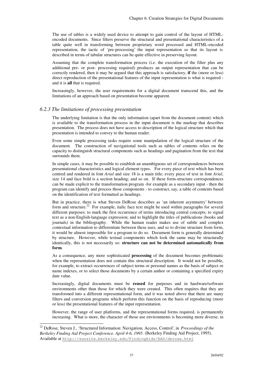The use of tables is a widely used device to attempt to gain control of the layout of HTMLencoded documents. Since filters preserve the structural and presentational characteristics of a table quite well in transforming between proprietary word processed and HTML-encoded representation, the tactic of 'pre-processing' the input representation so that its layout is described in terms of tabular structures can be quite effective in preserving layout.

Assuming that the complete transformation process (i.e. the execution of the filter plus any additional pre- or post- processing required) produces an output representation that can be correctly rendered, then it may be argued that this approach is satisfactory, **if** the (more or less) direct reproduction of the presentational features of the input representation is what is required and it is **all** that is required.

Increasingly, however, the user requirements for a digital document transcend this, and the limitations of an approach based on presentation become apparent.

#### *6.2.3 The limitations of processing presentation*

The underlying limitation is that the only information (apart from the document content) which is available to the transformation process in the input document is the markup that describes presentation. The process does not have access to description of the logical structure which that presentation is intended to convey to the human reader.

Even some simple processing tasks require some manipulation of the logical structure of the document. The construction of navigational tools such as tables of contents relies on the capacity to distinguish structural components such as headings and pagination from the text that surrounds them.

In simple cases, it may be possible to establish an unambiguous set of correspondences between presentational characteristics and logical element types. For every piece of text which has been centred and rendered in font *Arial* and size 18 is a main title; every piece of text in font *Arial*, size 14 and face bold is a section heading; and so on. If these form-structure correspondences can be made explicit to the transformation program -for example as a secondary input - then the program can identify and process those components - to construct, say, a table of contents based on the identification of text formatted as headings.

But in practice, there is what Steven DeRose describes as 'an inherent asymmetry' between form and structure.<sup>22</sup> For example, italic face text might be used within paragraphs for several different purposes: to mark the first occurrence of terms introducing central concepts; to signal text as a non-English-language expression; and to highlight the titles of publications (books and journals) in the bibliography. While the human reader makes use of subtle and complex contextual information to differentiate between these uses, and so to divine structure from form, it would be almost impossible for a program to do so. Document form is generally determined by structure. However, while textual components which look the same may be structurally identically, this is not necessarily so: **structure can not be determined automatically from form**.

As a consequence, any more sophisticated **processing** of the document becomes problematic when the representation does not contain this structural description. It would not be possible, for example, to extract occurrences of subject terms or personal names as the basis of subject or name indexes, or to select those documents by a certain author or containing a specified expiry date value.

Increasingly, digital documents must be **reused** for purposes and in hardware/software environments other than those for which they were created. This often requires that they are transformed into a different representational form, and it was noted above that there are many filters and conversion programs which perform this function on the basis of reproducing (more or less) the presentational features of the input representation.

However, the range of user platforms, and the representational forms required, is permanently increasing. What is more, the character of those use environments is becoming more diverse, in

 $\overline{a}$ 

<sup>22</sup> DeRose, Steven J., 'Structured Information: Navigation, Access, Control', in *Proceedings of the Berkeley Finding Aid Project Conference. April 4-6, 1995*. (Berkeley Finding Aid Project, 1995). Available at http://sunsite.berkeley.edu/FindingAids/EAD/derose.html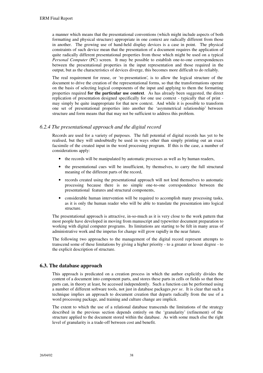a manner which means that the presentational conventions (which might include aspects of both formatting and physical structure) appropriate in one context are radically different from those in another. The growing use of hand-held display devices is a case in point. The physical constraints of such device mean that the presentation of a document requires the application of quite radically different presentational properties from those which might be used on a typical *Personal Computer (PC)* screen. It may be possible to establish one-to-one correspondences between the presentational properties in the input representation and those required in the output, but as the characteristics of devices diverge, this becomes more difficult to do reliably.

The real requirement for reuse, or 're-presentation', is to allow the logical structure of the document to drive the creation of the representational forms, so that the transformations operate on the basis of selecting logical components of the input and applying to them the formatting properties required **for the particular use context**. As has already been suggested, the direct replication of presentation designed specifically for one use context - typically that of print may simply be quite inappropriate for that new context. And while it is possible to transform one set of presentational properties into another the 'asymmetrical relationship' between structure and form means that that may not be sufficient to address this problem.

# *6.2.4 The presentational approach and the digital record*

Records are used for a variety of purposes. The full potential of digital records has yet to be realised, but they will undoubtedly be used in ways other than simply printing out an exact facsimile of the created input in the word processing program. If this is the case, a number of considerations apply:

- the records will be manipulated by automatic processes as well as by human readers,
- the presentational cues will be insufficient, by themselves, to carry the full structural meaning of the different parts of the record,
- records created using the presentational approach will not lend themselves to automatic processing because there is no simple one-to-one correspondence between the presentational features and structural components,
- considerable human intervention will be required to accomplish many processing tasks, as it is only the human reader who will be able to translate the presentation into logical structure.

The presentational approach is attractive, in-so-much as it is very close to the work pattern that most people have developed in moving from manuscript and typewriter document preparation to working with digital computer programs. Its limitations are starting to be felt in many areas of administrative work and the impetus for change will grow rapidly in the near future.

The following two approaches to the management of the digital record represent attempts to transcend some of these limitations by giving a higher priority - to a greater or lesser degree - to the explicit description of structure.

# **6.3. The database approach**

This approach is predicated on a creation process in which the author explicitly divides the content of a document into component parts, and stores these parts in cells or fields so that those parts can, in theory at least, be accessed independently. Such a function can be performed using a number of different software tools, not just in database packages *per se*. It is clear that such a technique implies an approach to document creation that departs radically from the use of a word processing package, and training and culture change are implicit.

The extent to which the use of a relational database transcends the limitations of the strategy described in the previous section depends entirely on the 'granularity' (refinement) of the structure applied to the document stored within the database. As with some much else the right level of granularity is a trade-off between cost and benefit.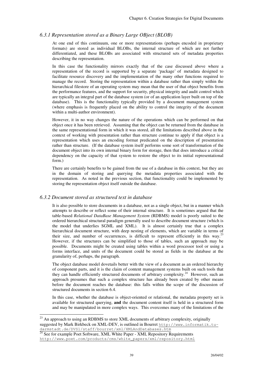# *6.3.1 Representation stored as a Binary Large OBject (BLOB)*

At one end of this continuum, one or more representations (perhaps encoded in proprietary formats) are stored as individual BLOBs, the internal structure of which are not further differentiated, and these BLOBs are associated with structured sets of metadata properties describing the representation.

In this case the functionality mirrors exactly that of the case discussed above where a representation of the record is supported by a separate 'package' of metadata designed to facilitate resource discovery and the implementation of the many other functions required to manage the record. Storing the representation within a database rather than simply within the hierarchical filestore of an operating system may mean that the user of that object benefits from the performance features, and the support for security, physical integrity and audit control which are typically an integral part of the database system (or of an application layer built on top of the database). This is the functionality typically provided by a document management system (where emphasis is frequently placed on the ability to control the integrity of the document within a multi-author environment).

However, it in no way changes the nature of the operations which can be performed on that object once it has been retrieved. Assuming that the object can be returned from the database in the same representational form in which it was stored, all the limitations described above in the context of working with presentation rather than structure continue to apply if that object is a representation which uses an encoding format predicated on the description of presentation rather than structure. (If the database system itself performs some sort of transformation of the document object into its own internal binary form for storage, then that does introduce a critical dependency on the capacity of that system to restore the object to its initial representational form.)

There are certainly benefits to be gained from the use of a database in this context, but they are in the domain of storing and querying the metadata properties associated with the representation. As noted in the previous section, that functionality could be implemented by storing the representation object itself outside the database.

### *6.3.2 Document stored as structured text in database*

 $\overline{a}$ 

It is also possible to store documents in a database, not as a single object, but in a manner which attempts to describe or reflect some of their internal structure. It is sometimes argued that the table-based *Relational DataBase Management System* (RDBMS) model is poorly suited to the ordered hierarchical structural paradigm generally used to describe document structure (which is the model that underlies SGML and XML). It is almost certainly true that a complex hierarchical document structure, with deep nesting of elements, which are variable in terms of their size, and number of occurrences, is difficult to represent efficiently in this way.<sup>23</sup> However, if the structures can be simplified to those of tables, such an approach may be possible. Documents might be created using tables within a word processor tool or using a forms interface, and units of the document could be stored as fields in the database at the granularity of, perhaps, the paragraph.

The object database model dovetails better with the view of a document as an ordered hierarchy of component parts, and it is the claim of content management systems built on such tools that they can handle efficiently structured documents of arbitrary complexity.<sup>24</sup> However, such an approach presumes that such a complex structure has already been created by other means before the document reaches the database: this falls within the scope of the discussion of structured documents in section 6.4.

In this case, whether the database is object-oriented or relational, the metadata property set is available for structured querying, **and** the document content itself is held in a structured form and may be manipulated in more complex ways. This overcomes many of the limitations of the

 $^{23}$  An approach to using an RDBMS to store XML documents of arbitrary complexity, originally suggested by Mark Birkbeck on XML-DEV, is outlined in Bourret http://www.informatik.tudarmstadt.de/DVS1/staff/bourret/xml/XMLAndDatabases.htm

<sup>&</sup>lt;sup>24</sup> See for example Poet Software, XML White Paper - XML Repository Requirements http://www.poet.com/products/cms/white\_papers/xml/repository.html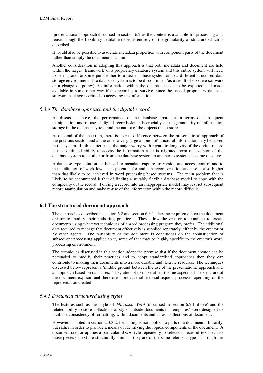'presentational' approach discussed in section 6.2 as the content is available for processing and reuse, though the flexibility available depends entirely on the granularity of structure which is described.

It would also be possible to associate metadata properties with component parts of the document rather than simply the document as a unit.

Another consideration in adopting this approach is that both metadata and document are held within the larger 'framework' of a proprietary database system and this entire system will need to be migrated at some point either to a new database system or to a different structured data storage environment. If a database system is to be discontinued (as a result of obsolete software or a change of policy) the information within the database needs to be exported and made available in some other way if the record is to survive, since the use of proprietary database software package is critical to accessing the information.

# *6.3.4 The database approach and the digital record*

As discussed above, the performance of the database approach in terms of subsequent manipulation and re-use of digital records depends crucially on the granularity of information storage in the database system and the nature of the objects that it stores.

At one end of the spectrum, there is no real difference between the presentational approach of the previous section and at the other a very large amount of structural information may be stored in the system. In this latter case, the major worry with regard to longevity of the digital record is the continued ability to access the information as it is migrated form one version of the database system to another or from one database system to another as systems become obsolete.

A database type solution lends itself to metadata capture, to version and access control and to the facilitation of workflow. The potential for audit in record creation and use is also higher than that likely to be achieved in word processing based systems. The main problem that is likely to be encountered is that of finding a suitably flexible database model to cope with the complexity of the record. Forcing a record into an inappropriate model may restrict subsequent record manipulation and make re-use of the information within the record difficult.

# **6.4 The structured document approach**

The approaches described in section 6.2 and section 6.3.1 place no requirement on the document creator to modify their authoring practices. They allow the creator to continue to create documents using whatever techniques of a word processing program they prefer. The additional data required to manage that document effectively is supplied separately, either by the creator or by other agents. The reusability of the document is conditional on the sophistication of subsequent processing applied to it, some of that may be highly specific to the creator's word processing environment.

The techniques discussed in this section adopt the premise that if the document creator can be persuaded to modify their practices and to adopt standardised approaches then they can contribute to making their documents into a more durable and flexible resource. The techniques discussed below represent a 'middle ground' between the use of the presentational approach and an approach based on databases. They attempt to make at least some aspects of the structure of the document explicit, and therefore more accessible to subsequent processes operating on the representation created.

# *6.4.1 Document structured using styles*

The features such as the 'style' of *Microsoft Word* (discussed in section 6.2.1 above) and the related ability to store collections of styles outside documents in 'templates', were designed to facilitate consistency of formatting, within documents and across collections of document.

However, as noted in section 2.3.3.2, formatting is not applied to parts of a document arbitrarily, but rather in order to provide a means of identifying the logical components of the document. A document creator applies a particular *Word* style repeatedly to selected pieces of text because those pieces of text are structurally similar - they are of the same 'element type'. Through the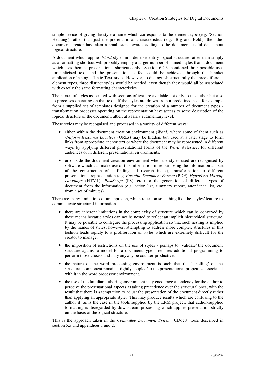simple device of giving the style a name which corresponds to the element type (e.g. 'Section Heading') rather than just the presentational characteristics (e.g. 'Big and Bold'), then the document creator has taken a small step towards adding to the document useful data about logical structure.

A document which applies *Word* styles in order to identify logical structure rather than simply as a formatting shortcut will probably employ a larger number of named styles than a document which uses them as presentational shortcuts only. Section 6.2.3 mentioned three possible uses for italicised text, and the presentational effect could be achieved through the blanket application of a single 'Italic Text' style. However, to distinguish structurally the three different element types, three distinct styles would be needed, even though they would all be associated with exactly the same formatting characteristics.

The names of styles associated with sections of text are available not only to the author but also to processes operating on that text. If the styles are drawn from a predefined set - for example from a supplied set of templates designed for the creation of a number of document types transformation processes operating on the representation have access to some description of the logical structure of the document, albeit at a fairly rudimentary level.

These styles may be recognised and processed in a variety of different ways:

- either within the document creation environment (*Word*) where some of them such as *Uniform Resource Locators* (URLs) may be hidden, but used at a later stage to form links from appropriate anchor text or where the document may be represented in different ways by applying different presentational forms of the *Word* stylesheet for different audiences or in different presentational environments.
- or outside the document creation environment when the styles used are recognised by software which can make use of this information in re-purposing the information as part of the construction of a finding aid (search index), transformation to different presentational representation (e.g. *Portable Document Format* (PDF), *HyperText Markup Language* (HTML), *PostScript* (PS), etc.) or the generation of different types of document from the information (e.g. action list, summary report, attendance list, etc. from a set of minutes).

There are many limitations of an approach, which relies on something like the 'styles' feature to communicate structural information.

- there are inherent limitations in the complexity of structure which can be conveyed by these means because styles can not be nested to reflect an implicit hierarchical structure. It may be possible to configure the processing application so that such nesting is implied by the names of styles; however, attempting to address more complex structures in this fashion leads rapidly to a proliferation of styles which are extremely difficult for the creator to manage.
- the imposition of restrictions on the use of styles perhaps to 'validate' the document structure against a model for a document type - requires additional programming to perform those checks and may anyway be counter-productive.
- the nature of the word processing environment is such that the 'labelling' of the structural component remains 'tightly coupled' to the presentational properties associated with it in the word processor environment.
- the use of the familiar authoring environment may encourage a tendency for the author to perceive the presentational aspects as taking precedence over the structural ones, with the result that there is a temptation to adjust the presentation of the document directly rather than applying an appropriate style. This may produce results which are confusing to the author if, as is the case in the tools supplied by the ERM project, that author-supplied formatting is disregarded by downstream processing which applies presentation strictly on the basis of the logical structure.

This is the approach taken in the *Committee Document System* (CDocS) tools described in section 5.5 and appendices 1 and 2.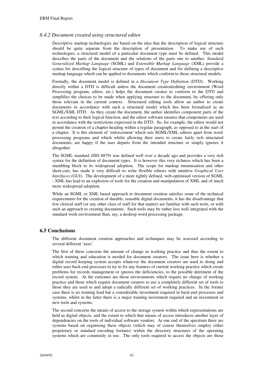# *6.4.2 Document created using structured editor*

Descriptive markup technologies are based on the idea that the description of logical structure should be quite separate from the description of presentation. To make use of such technologies, a structural model of a particular document type must be defined. This model describes the parts of the document and the relations of the parts one to another. *Standard Generalized Markup Language* (SGML) and *Extensible Markup Language* (XML) provide a syntax for describing the logical structure of types of document and for defining a descriptive markup language which can be applied to documents which conform to those structural models.

Formally, the document model is defined in a *Document Type Definition* (DTD). Working directly within a DTD is difficult unless the document creation/editing environment (Word Processing program, editor, etc.) helps the document creator to conform to the DTD and simplifies the choices to be made when applying structure to the document, by offering only those relevant in the current context. Structured editing tools allow an author to create documents in accordance with such a structural model which has been formalised as an SGML/XML DTD. As they create the document, the author identifies component parts of the text according to their logical function, and the editor software ensures that components are used in accordance with the restrictions expressed in the DTD. So, for example, the editor would not permit the creation of a chapter heading within a regular paragraph, as opposed to at the start of a chapter. It is this element of 'enforcement' which sets SGML/XML editors apart from word processing programs and which whilst allowing their users to create fairly rich structured documents, are happy if the user departs from the intended structure or simply ignores it altogether.

The SGML standard (ISO 8879) was defined well over a decade ago and provides a very rich syntax for the definition of document types. It is however this very richness which has been a stumbling block to its widespread adoption. The scope for markup minimisation and other short-cuts, has made it very difficult to write flexible editors with intuitive *Graphical User Interfaces* (GUI). The development of a more tightly defined, web-optimised version of SGML - XML has lead to an explosion of tools for the creation and manipulation of XML and of much more widespread adoption.

While an SGML or XML based approach to document creation satisfies some of the technical requirements for the creation of durable, reusable digital documents, it has the disadvantage that few clerical staff (or any other class of staff for that matter) are familiar with such tools, or with such an approach to creating documents. Such tools may be rather less well integrated with the standard work environment than, say, a desktop word processing package.

# **6.5 Conclusions**

The different document creation approaches and techniques may be assessed according to several different 'axes'.

The first of these concerns the amount of change in working practice and thus the extent to which training and education is needed for document creators. The issue here is whether a digital record keeping system accepts whatever the document creators are used to doing and either uses back-end processes to try to fix any features of current working practice which create problems for records management or ignores the deficiencies, to the possible detriment of the record system. At the extremes are those environments which require no change of working practice and those which require document creators to use a completely different set of tools to those they are used to and adopt a radically different set of working practices. In the former case there is no training load but a considerable investment required in back-end processes and systems, whilst in the latter there is a major training investment required and an investment in new tools and systems.

The second concerns the means of access to the storage system within which representations are held as digital objects, and the extent to which that means of access introduces another layer of dependencies on the tools of individual software vendors. At one end of the spectrum there are systems based on organising these objects (which may of course themselves employ either proprietary or standard encoding formats) within the directory structures of the operating systems which are commonly in use. The only tools required to access the objects are those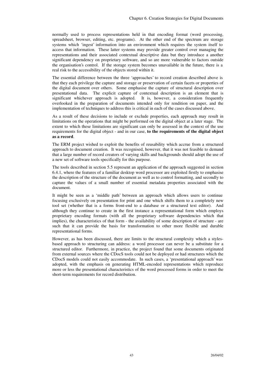normally used to process representations held in that encoding format (word processing, spreadsheet, browser, editing, etc. programs). At the other end of the spectrum are storage systems which 'ingest' information into an environment which requires the system itself to access that information. These latter systems may provide greater control over managing the representations and their associated contextual descriptive data but they introduce a another significant dependency on proprietary software, and so are more vulnerable to factors outside the organisation's control. If the storage system becomes unavailable in the future, there is a real risk to the accessibility of the objects stored within it.

The essential difference between the three 'approaches' to record creation described above is that they each privilege the capture and storage or preservation of certain facets or properties of the digital document over others. Some emphasise the capture of structural description over presentational data. The explicit capture of contextual description is an element that is significant whichever approach is adopted. It is, however, a consideration frequently overlooked in the preparation of documents intended only for rendition on paper, and the implementation of techniques to address this is critical in each of the cases discussed above.

As a result of these decisions to include or exclude properties, each approach may result in limitations on the operations that might be performed on the digital object at a later stage. The extent to which these limitations are significant can only be assessed in the context of the use requirements for the digital object - and in our case, **to the requirements of the digital object as a record**.

The ERM project wished to exploit the benefits of reusability which accrue from a structured approach to document creation. It was recognised, however, that it was not feasible to demand that a large number of record creators of varying skills and backgrounds should adopt the use of a new set of software tools specifically for this purpose.

The tools described in section 5.5 represent an application of the approach suggested in section 6.4.1, where the features of a familiar desktop word processor are exploited firstly to emphasise the description of the structure of the document as well as to control formatting, and secondly to capture the values of a small number of essential metadata properties associated with the document.

It might be seen as a 'middle path' between an approach which allows users to continue focusing exclusively on presentation for print and one which shifts them to a completely new tool set (whether that is a forms front-end to a database or a structured text editor). And although they continue to create in the first instance a representational form which employs proprietary encoding formats (with all the proprietary software dependencies which that implies), the characteristics of that form - the availability of some description of structure - are such that it can provide the basis for transformation to other more flexible and durable representational forms.

However, as has been discussed, there are limits to the structural complexity which a stylesbased approach to structuring can address: a word processor can never be a substitute for a structured editor. Furthermore, in practice, the project found that some documents originated from external sources where the CDocS tools could not be deployed or had structures which the CDocS models could not easily accommodate. In such cases, a 'presentational approach' was adopted, with the emphasis on generating HTML-encoded representations which reproduce more or less the presentational characteristics of the word processed forms in order to meet the short-term requirements for record distribution.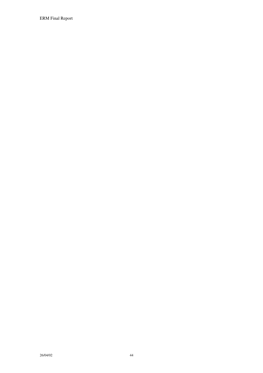ERM Final Report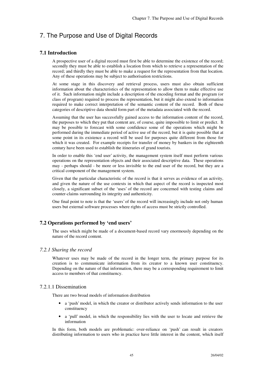# 7. The Purpose and Use of Digital Records

# **7.1 Introduction**

A prospective user of a digital record must first be able to determine the existence of the record; secondly they must be able to establish a location from which to retrieve a representation of the record; and thirdly they must be able to make a request for the representation from that location. Any of these operations may be subject to authorisation restrictions.

At some stage in this discovery and retrieval process, users must also obtain sufficient information about the characteristics of the representation to allow them to make effective use of it. Such information might include a description of the encoding format and the program (or class of program) required to process the representation, but it might also extend to information required to make correct interpretation of the semantic content of the record. Both of these categories of descriptive data should form part of the metadata associated with the record.

Assuming that the user has successfully gained access to the information content of the record, the purposes to which they put that content are, of course, quite impossible to limit or predict. It may be possible to forecast with some confidence some of the operations which might be performed during the immediate period of active use of the record, but it is quite possible that at some point in its existence a record will be used for purposes quite different from those for which it was created. For example receipts for transfer of money by bankers in the eighteenth century have been used to establish the itineraries of grand tourists.

In order to enable this 'end user' activity, the management system itself must perform various operations on the representation objects and their associated descriptive data. These operations may - perhaps should - be more or less invisible to the end user of the record, but they are a critical component of the management system.

Given that the particular characteristic of the record is that it serves as evidence of an activity, and given the nature of the use contexts in which that aspect of the record is inspected most closely, a significant subset of the 'uses' of the record are concerned with testing claims and counter-claims surrounding its integrity and authenticity.

One final point to note is that the 'users' of the record will increasingly include not only human users but external software processes where rights of access must be strictly controlled.

# **7.2 Operations performed by 'end users'**

The uses which might be made of a document-based record vary enormously depending on the nature of the record content.

### *7.2.1 Sharing the record*

Whatever uses may be made of the record in the longer term, the primary purpose for its creation is to communicate information from its creator to a known user constituency. Depending on the nature of that information, there may be a corresponding requirement to limit access to members of that constituency.

#### 7.2.1.1 Dissemination

There are two broad models of information distribution

- a 'push' model, in which the creator or distributor actively sends information to the user constituency
- a 'pull' model, in which the responsibility lies with the user to locate and retrieve the information

In this form, both models are problematic: over-reliance on 'push' can result in creators distributing information to users who in practice have little interest in the content, which itself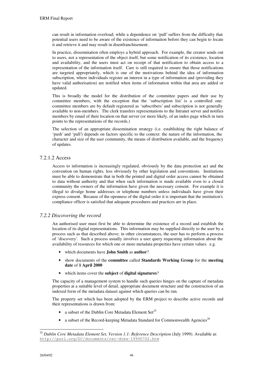can result in information overload; while a dependence on 'pull' suffers from the difficulty that potential users need to be aware of the existence of information before they can begin to locate it and retrieve it and may result in disenfranchisement.

In practice, dissemination often employs a hybrid approach. For example, the creator sends out to users, not a representation of the object itself, but some notification of its existence, location and availability, and the users must act on receipt of that notification to obtain access to a representation of the information itself. Care is still required to ensure that those notifications are targeted appropriately, which is one of the motivations behind the idea of information subscription, where individuals register an interest in a type of information and (providing they have valid authorisation) are notified when items of information within that area are added or updated.

This is broadly the model for the distribution of the committee papers and their use by committee members, with the exception that the 'subscription list' is a controlled one: committee members are by default registered as 'subscribers' and subscription is not generally available to non-members. The clerk transfers representations to the Intranet server and notifies members by email of their location on that server (or more likely, of an index page which in turn points to the representations of the records.)

The selection of an appropriate dissemination strategy (i.e. establishing the right balance of 'push' and 'pull') depends on factors specific to the context: the nature of the information, the character and size of the user community, the means of distribution available, and the frequency of updates.

# 7.2.1.2 Access

Access to information is increasingly regulated, obviously by the data protection act and the convention on human rights, less obviously by other legislation and conventions. Institutions must be able to demonstrate that in both the printed and digital order access cannot be obtained to data without authority and that when such information is made available even to a closed community the owners of the information have given the necessary consent. For example it is illegal to divulge home addresses or telephone numbers unless individuals have given their express consent. Because of the openness of the digital order it is important that the institution's compliance officer is satisfied that adequate procedures and practices are in place.

# *7.2.2 Discovering the record*

An authorised user must first be able to determine the existence of a record and establish the location of its digital representations. This information may be supplied directly to the user by a process such as that described above; in other circumstances, the user has to perform a process of 'discovery'. Such a process usually involves a user query requesting information about the availability of resources for which one or more metadata properties have certain values. e.g.

- which documents have **John Smith** as **author**?
- show documents of the **committee** called **Standards Working Group** for the **meeting date** of **1 April 2000**
- which items cover the **subject** of **digital signatures**?

The capacity of a management system to handle such queries hinges on the capture of metadata properties at a suitable level of detail, appropriate document structure and the construction of an indexed form of the metadata dataset against which queries can be run.

The property set which has been adopted by the ERM project to describe active records and their representations is drawn from:

- a subset of the Dublin Core Metadata Element Set<sup>25</sup>
- a subset of the Record-keeping Metadata Standard for Commonwealth Agencies<sup>26</sup>

 $\overline{a}$ 

<sup>25</sup> *Dublin Core Metadata Element Set, Version 1.1: Reference Description* (July 1999). Available at: http://purl.org/DC/documents/rec-dces-19990702.htm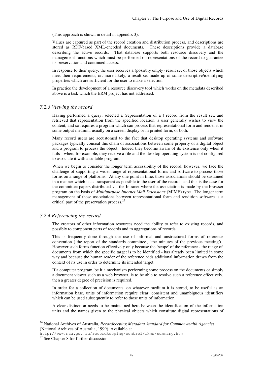(This approach is shown in detail in appendix 3).

Values are captured as part of the record creation and distribution process, and descriptions are stored as RDF-based XML-encoded documents. These descriptions provide a database describing the active records. That database supports both resource discovery and the management functions which must be performed on representations of the record to guarantee its preservation and continued access.

In response to their query, the user receives a (possibly empty) result set of those objects which meet their requirements, or, more likely, a result set made up of some descriptive/identifying properties which are sufficient for the user to make a selection.

In practice the development of a resource discovery tool which works on the metadata described above is a task which the ERM project has not addressed.

#### *7.2.3 Viewing the record*

Having performed a query, selected a (representation of a ) record from the result set, and retrieved that representation from the specified location, a user generally wishes to view the content, and so requires a program which can process that representational form and render it in some output medium, usually on a screen display or in printed form, or both.

Many record users are accustomed to the fact that desktop operating systems and software packages typically conceal this chain of associations between some property of a digital object and a program to process the object. Indeed they become aware of its existence only when it fails - when, for example, they receive a file and the desktop operating system is not configured to associate it with a suitable program.

When we begin to consider the longer term accessibility of the record, however, we face the challenge of supporting a wider range of representational forms and software to process those forms on a range of platforms. At any one point in time, those associations should be sustained in a manner which is as transparent as possible to the user of the record - and this is the case for the committee papers distributed via the Intranet where the association is made by the browser program on the basis of *Multipurpose Internet Mail Extensions* (MIME) type. The longer term management of these associations between representational form and rendition software is a critical part of the preservation process.<sup>27</sup>

#### *7.2.4 Referencing the record*

The creators of other information resources need the ability to refer to existing records, and possibly to component parts of records and to aggregations of records.

This is frequently done through the use of informal and unstructured forms of reference convention ('the report of the standards committee', 'the minutes of the previous meeting'). However such forms function effectively only because the 'scope' of the reference - the range of documents from which the specific target is to be identified - has already been limited in some way and because the human reader of the reference adds additional information drawn from the context of its use in order to determine its intended target.

If a computer program, be it a mechanism performing some process on the documents or simply a document viewer such as a web browser, is to be able to resolve such a reference effectively, then a greater degree of precision is required.

In order for a collection of documents, on whatever medium it is stored, to be useful as an information base, units of information require clear, consistent and unambiguous identifiers which can be used subsequently to refer to those units of information.

A clear distinction needs to be maintained here between the identification of the information units and the names given to the physical objects which constitute digital representations of

 $\frac{27}{27}$  See Chapter 8 for further discussion.

 $\overline{a}$ 

<sup>26</sup> National Archives of Australia, *Recordkeeping Metadata Standard for Commonwealth Agencies* (National Archives of Australia, 1999). Available at

http://www.naa.gov.au/recordkeeping/control/rkms/summary.htm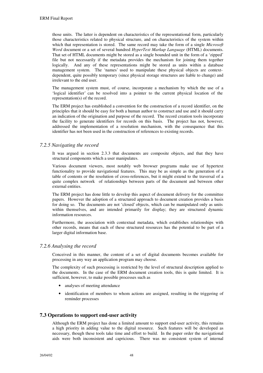those units. The latter is dependent on characteristics of the representational form, particularly those characteristics related to physical structure, and on characteristics of the system within which that representation is stored. The same record may take the form of a single *Microsoft Word* document or a set of several hundred *HyperText Markup Language* (HTML) documents. That set of HTML documents might be stored as a single bounded unit in the form of a 'zipped' file but not necessarily if the metadata provides the mechanism for joining them together logically. And any of these representations might be stored as units within a database management system. The 'names' used to manipulate these physical objects are contextdependent, quite possibly temporary (since physical storage structures are liable to change) and irrelevant to the end user.

The management system must, of course, incorporate a mechanism by which the use of a 'logical identifier' can be resolved into a pointer to the current physical location of the representation(s) of the record.

The ERM project has established a convention for the construction of a record identifier, on the principles that it should be easy for both a human author to construct and use and it should carry an indication of the origination and purpose of the record. The record creation tools incorporate the facility to generate identifiers for records on this basis. The project has not, however, addressed the implementation of a resolution mechanism, with the consequence that this identifier has not been used in the construction of references to existing records.

# *7.2.5 Navigating the record*

It was argued in section 2.3.3 that documents are composite objects, and that they have structural components which a user manipulates.

Various document viewers, most notably web browser programs make use of hypertext functionality to provide navigational features. This may be as simple as the generation of a table of contents or the resolution of cross-references, but it might extend to the traversal of a quite complex network of relationships between parts of the document and between other external entities.

The ERM project has done little to develop this aspect of document delivery for the committee papers. However the adoption of a structured approach to document creation provides a basis for doing so. The documents are not 'closed' objects, which can be manipulated only as units within themselves, and are intended primarily for display; they are structured dynamic information resources.

Furthermore, the association with contextual metadata, which establishes relationships with other records, means that each of these structured resources has the potential to be part of a larger digital information base.

# *7.2.6 Analysing the record*

Conceived in this manner, the content of a set of digital documents becomes available for processing in any way an application program may choose.

The complexity of such processing is restricted by the level of structural description applied to the documents. In the case of the ERM document creation tools, this is quite limited. It is sufficient, however, to make possible processes such as

- analyses of meeting attendance
- identification of members to whom actions are assigned, resulting in the triggering of reminder processes

# **7.3 Operations to support end-user activity**

Although the ERM project has done a limited amount to support end-user activity, this remains a high priority in adding value to the digital resource. Such features will be developed as necessary, though these tools take time and effort to build. In the paper order the navigational aids were both inconsistent and capricious. There was no consistent system of internal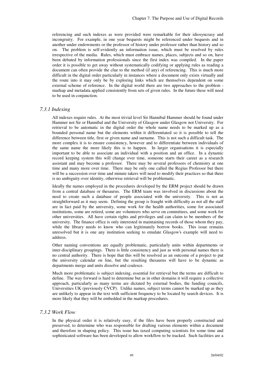referencing and such indexes as were provided were remarkable for their idiosyncrasy and incongruity. For example, in one year bequests might be referenced under bequests and in another under endowments or the professor of history under professor rather than history and so on. The problem is self-evidently an information issue, which must be resolved by rules irrespective of the media. Rules, which must embrace names, places, subjects and so on, have been debated by information professionals since the first index was compiled. In the paper order it is possible to get away without systematically codifying or applying rules as reading a document can often provide the clue to the method (if any) of referencing. This is much more difficult in the digital order particularly in instances where a document only exists virtually and the route into it may only be by exploring links which are themselves dependent on some external scheme of reference. In the digital world there are two approaches to the problem markup and metadata applied consistently from sets of given rules. In the future these will need to be used in conjunction.

# *7.3.1 Indexing*

All indexes require rules. At the most trivial level Sir Hannibal Hammer should be found under Hammer not Sir or Hannibal and the University of Glasgow under Glasgow not University. For retrieval to be automatic in the digital order the whole name needs to be marked up as a bounded personal name but the elements within it differentiated so it is possible to tell the difference between title, first or given name and surname. This is not such a difficult task. The more complex it is to ensure consistency, however and to differentiate between individuals of the same name the more likely this is to happen. In larger organisations it is especially important to be able to associate an individual with a position and an office. In a dynamic record keeping system this will change over time, someone starts their career as a research assistant and may become a professor. There may be several professors of chemistry at one time and many more over time. There may be only one called the Regius Professor but there will be a succession over time and minute takers will need to modify their practices so that there is no ambiguity over identity, otherwise retrieval will be problematic.

Ideally the names employed in the procedures developed by the ERM project should be drawn from a central database or thesaurus. The ERM team was involved in discussions about the need to create such a database of people associated with the university. This is not as straightforward as it may seem. Defining the group is fraught with difficulty as not all the staff are in fact paid by the university, some work for the health authorities, some for associated institutions, some are retired, some are volunteers who serve on committees, and some work for other universities. All have certain rights and privileges and can claim to be members of the university. The finance office is only interested in maintaining records of those whom they pay, while the library needs to know who can legitimately borrow books. This issue remains unresolved but it is one any institution seeking to emulate Glasgow's example will need to address.

Other naming conventions are equally problematic, particularly units within departments or inter-disciplinary groupings. There is little consistency and just as with personal names there is no central authority. There is hope that this will be resolved as an outcome of a project to put the university calendar on line, but the resulting thesaurus will have to be dynamic as departments merge and units dissolve and coalesce.

Much more problematic is subject indexing, essential for retrieval but the terms are difficult to define. The way forward is hard to determine but as in other domains it will require a collective approach, particularly as many terms are dictated by external bodies, the funding councils, Universities UK (previously CVCP). Unlike names, subject terms cannot be marked up as they are unlikely to appear in the text with sufficient frequency to be located by search devices. It is more likely that they will be embedded in the markup procedures.

#### *7.3.2 Work Flow*

In the physical order it is relatively easy, if the files have been properly constructed and preserved, to determine who was responsible for drafting various elements within a document and therefore in shaping policy. This issue has taxed computing scientists for some time and sophisticated software has been developed to allow workflow to be tracked. Such facilities are a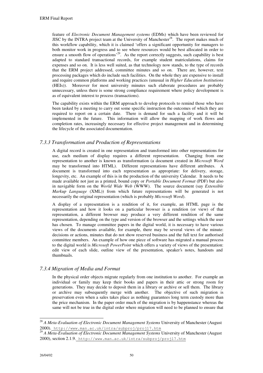feature of *Electronic Document Management systems* (EDMs) which have been reviewed for JISC by the INTRA project team at the University of Manchester<sup>28</sup>. The report makes much of this workflow capability, which it is claimed 'offers a significant opportunity for managers to both monitor work in progress and to see where resources would be best allocated in order to ensure a smooth flow of operations<sup>'29</sup>. As the report correctly suggests, such capability is best adapted to standard transactional records, for example student matriculations, claims for expenses and so on. It is less well suited, as that technology now stands, to the type of records that the ERM project addressed, committee minutes and so on. There are, however, text processing packages which do include such facilities. On the whole they are expensive to install and require common platforms and working practices (unusual in *Higher Education Institutions* (HEIs)). Moreover for most university minutes such elaborate procedures are probably unnecessary, unless there is some strong compliance requirement where policy development is as of equivalent interest to process (transactions).

The capability exists within the ERM approach to develop protocols to remind those who have been tasked by a meeting to carry out some specific instruction the outcomes of which they are required to report on a certain date. There is demand for such a facility and it will be implemented in the future. This information will allow the mapping of work flows and completion rates, increasingly necessary for effective project management and in determining the lifecycle of the associated documentation.

# *7.3.3 Transformation and Production of Representations*

A digital record is created in one representation and transformed into other representations for use, each medium of display requires a different representation. Changing from one representation to another is known as transformation (a document created in *Microsoft Word* may be transformed into HTML). Different representations have different attributes. A document is transformed into each representation as appropriate: for delivery, storage, longevity, etc. An example of this is in the production of the university Calendar. It needs to be made available not just as a printed, bound copy or *Portable Document Format* (PDF) but also in navigable form on the *World Wide Web* (WWW). The source document (say *Extensible Markup Language* (XML)) from which future representations will be generated is not necessarily the original representation (which is probably *Microsoft Word*).

A display of a representation is a rendition of it, for example, an HTML page is the representation and how it looks on a particular browser is a rendition (or view) of that representation, a different browser may produce a very different rendition of the same representation, depending on the type and version of the browser and the settings which the user has chosen. To manage committee papers in the digital world, it is necessary to have various views of the documents available, for example, there may be several views of the minute: decisions or actions, minutes that do not show reserved business and the full text for authorised committee members. An example of how one piece of software has migrated a manual process to the digital world is *Microsoft PowerPoint* which offers a variety of views of the presentation: edit view of each slide, outline view of the presentation, speaker's notes, handouts and thumbnails.

# *7.3.4 Migration of Media and Format*

In the physical order objects migrate regularly from one institution to another. For example an individual or family may keep their books and papers in their attic or strong room for generations. They may decide to deposit them in a library or archive or sell them. The library or archive may subsequently merge with another. The objective of such migration is preservation even when a sales takes place as nothing guarantees long term custody more than the price mechanism. In the paper order much of the migration is by happenstance whereas the same will not be true in the digital order where migration will need to be planned to ensure that

 $\overline{a}$ <sup>28</sup> *A Meta-Evaluation of Electronic Document Management Systems* University of Manchester (August 2000). http://www.man.ac.uk/intra/subproj/proj17.htm

<sup>&</sup>lt;sup>29</sup> A Meta-Evaluation of Electronic Document Management Systems University of Manchester (August 2000), section 2.1.9. http://www.man.ac.uk/intra/subproj/proj17.htm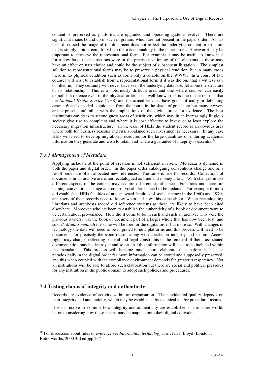content is preserved as platforms are upgraded and operating systems evolve. There are significant issues bound up in such migration, which are not present in the paper order. As has been discussed the image of the document does not reflect the underlying content or structure that is simply a bit stream, for which there is no analogy in the paper order. However it may be important to preserve the representational form. For example it may be useful to know in a form how large the instructions were or the precise positioning of the elements as these may have an effect on user choice and could be the subject of subsequent litigation. The simplest solution to representational forms may be to preserve a physical rendition, but in many cases there is no physical rendition such as form only available on the WWW. In a court of law counsel will wish to establish from a representational form if it was the one that a witness saw or filled in. They certainly will never have seen the underlying database, let alone the structure of its relationship. This is a notoriously difficult area and one where counsel can easily demolish a defence even in the physical order. It is well known this is one of the reasons that the *National Health Service* (NHS) and the armed services have great difficulty in defending cases. What is needed is guidance from the courts in the shape of precedent but many lawyers are at present unfamiliar with the implications of the digital order for evidence. The best institutions can do is to second guess areas of sensitivity which may in an increasingly litigious society give rise to complaint and where it is cost effective to invest or at least explore the necessary migration infrastructure. In the case of HEIs the student record is an obvious area where both for business reasons and risk avoidance such investment is necessary. In any case HEIs will need to develop migration procedures for the large quantities of enduring academic information they generate and wish to retain and where a guarantee of integrity is essential<sup>30</sup>.

#### *7.3.5 Management of Metadata*

Applying metadata at the point of creation is not sufficient in itself. Metadata is dynamic in both the paper and digital order. In the paper order cataloguing conventions change and as a result books are often allocated new references. The same is true for records. Collections of documents in an archive are often recatalogued as time and money allow. With changes in use different aspects of the content may acquire different significance. Functions and therefore naming conventions change and control vocabularies need to be updated. For example in most old established HEIs faculties of arts spawned faculties of social science in the 1960s and 1970s and users of their records need to know when and how this came about. When recataloguing librarians and archivists record old reference systems as these are likely to have been cited elsewhere. Moreover scholars keen to establish the authenticity of a book or document want to be certain about provenance. How did it come to be in such and such an archive, who were the previous owners, was the book or document part of a larger whole that has now been lost, and so on? *Mutatis mutand*i the same will be true for the digital order but more so. With changes in technology the data will need to be migrated to new platforms and this process will need to be documents for precisely the same reason along with checks on integrity and so on. Access rights may change, reflecting societal and legal constraints or the removal of them, associated documentation may be destroyed and so on. All this information will need to be included within the metadata. This process will become much more elaborate than before is because paradoxically in the digital order far more information can be stored and supposedly preserved, and this when coupled with the compliance environment demands far greater transparency. Not all institutions will be able to afford such elaboration but there are social and political pressures for any institution in the public domain to adopt such policies and procedures.

# **7.4 Testing claims of integrity and authenticity**

 $\overline{a}$ 

Records are evidence of activity within an organisation. Their evidential quality depends on their integrity and authenticity, which may be established by technical and/or procedural means.

It is instructive to examine how integrity and authenticity are established in the paper world, before considering how these means may be mapped onto their digital equivalents.

<sup>&</sup>lt;sup>30</sup> For discussion about rules of evidence see *Information technology law*; Ian J. Lloyd (London: Butterworths, 2000 3rd ed.)pp.237-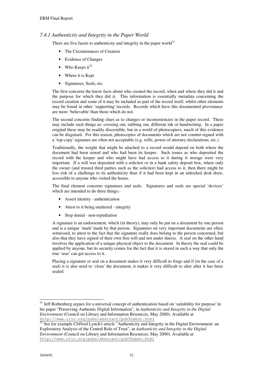# *7.4.1 Authenticity and Integrity in the Paper World*

There are five facets to authenticity and integrity in the paper world $31$ 

- The Circumstances of Creation
- Evidence of Changes
- Who Keeps  $it^{32}$
- Where it is Kept
- Signatures, Seals, etc.

The first concerns the know facts about who created the record, when and where they did it and the purpose for which they did it. This information is essentially metadata concerning the record creation and some of it may be included as part of the record itself, whilst other elements may be found in other 'supporting' records. Records which have this documented provenance are more 'believable' than those which do not.

The second concerns finding clues as to changes or inconsistencies in the paper record. These may include such things as: crossing out, rubbing out, different ink or handwriting. In a paper original these may be readily discernible, but in a world of photocopiers, much of this evidence can be disguised. For this reason, photocopies of documents which are not counter-signed with a 'top-copy' signature are often not acceptable (e.g. wills, power of attorney declarations, etc.).

Traditionally, the weight that might be attached to a record would depend on both where the document had been stored and who had been its keeper. Such issues as who deposited the record with the keeper and who might have had access to it during it storage were very important. If a will was deposited with a solicitor or in a bank safety deposit box, where only the owner (and trusted third parties such as the solicitor) had access to it, then there might be less risk of a challenge to its authenticity than if it had been kept in an unlocked desk draw, accessible to anyone who visited the house.

The final element concerns signatures and seals. Signatures and seals are special 'devices' which are intended to do three things:-

- Assert identity authentication
- Attest to it being unaltered integrity
- Stop denial non-repudiation

A signature is an endorsement, which (in theory), may only be put on a document by one person and is a unique 'mark' made by that person. Signatures on very important documents are often witnessed, to attest to the fact that the signature really does belong to the person concerned, but also that they have signed of their own free will and not under duress. A seal on the other hand involves the application of a unique physical object to the document. In theory the seal could be applied by anyone, but its security comes for the fact that it is stored in such a way that only the true 'user' can get access to it.

Placing a signature or seal on a document makes it very difficult to forge and if (in the case of a seal) it is also used to 'close' the document, it makes it very difficult to alter after it has been sealed.

 $\overline{a}$ 

<sup>&</sup>lt;sup>31</sup> Jeff Rothenberg argues for a universal concept of authentication based on 'suitability for purpose' in his paper "Preserving Authentic Digital Information", in *Authenticity and Integrity in the Digital Environment* (Council on Library and Information Resources, May 2000). Available at http://www.clir.org/pubs/abstract/pub92abst.html

 $32$  See for example Clifford Lynch's article "Authenticity and Integrity in the Digital Environment: an Exploratory Analysis of the Central Role of Trust", in *Authenticity and Integrity in the Digital Environment* (Council on Library and Information Resources, May 2000). Available at http://www.clir.org/pubs/abstract/pub92abst.html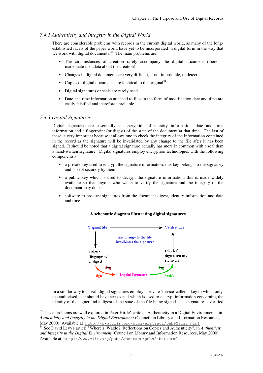# *7.4.1 Authenticity and Integrity in the Digital World*

There are considerable problems with records in the current digital world, as many of the longestablished facets of the paper world have yet to be incorporated in digital form in the way that we work with digital documents.<sup>33</sup> The main problems are:

- The circumstances of creation rarely accompany the digital document (there is inadequate metadata about the creation)
- Changes in digital documents are very difficult, if not impossible, to detect
- Copies of digital documents are identical to the original $3<sup>34</sup>$
- Digital signatures or seals are rarely used
- Date and time information attached to files in the form of modification date and time are easily falsified and therefore unreliable

# *7.4.3 Digital Signatures*

 $\overline{a}$ 

Digital signatures are essentially an encryption of identity information, date and time information and a fingerprint (or digest) of the state of the document at that time. The last of these is very important because it allows one to check the integrity of the information contained in the record as the signature will be invalidated by any change to the file after it has been signed. It should be noted that a digital signature actually has more in common with a seal than a hand-written signature. Digital signatures employ encryption technologies with the following components:-

- a private key used to encrypt the signature information, this key belongs to the signatory and is kept securely by them
- a public key which is used to decrypt the signature information, this is made widely available so that anyone who wants to verify the signature and the integrity of the document may do so
- software to produce signatures from the document digest, identity information and date and time



#### **A schematic diagram illustrating digital signatures**

In a similar way to a seal, digital signatures employ a private 'device' called a key to which only the authorised user should have access and which is used to encrypt information concerning the identity of the signer and a digest of the state of the file being signed. The signature is verified

 $33$  These problems are well explored in Peter Hirtle's article "Authenticity in a Digital Environment", in *Authenticity and Integrity in the Digital Environment* (Council on Library and Information Resources, May 2000). Available at http://www.clir.org/pubs/abstract/pub92abst.html

<sup>&</sup>lt;sup>34</sup> See David Levy's article "Where's Waldo? Reflections on Copies and Authenticity", in *Authenticity and Integrity in the Digital Environment* (Council on Library and Information Resources, May 2000). Available at http://www.clir.org/pubs/abstract/pub92abst.html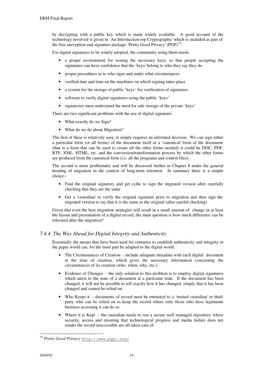by decrypting with a public key which is made widely available. A good account of the technology involved is given in 'An Introduction top Cryptography' which is included as part of the free encryption and signature package 'Pretty Good Privacy' (PGP)<sup>35</sup>.

For digital signatures to be widely adopted, the community using them needs:

- a proper environment for issuing the necessary keys, so that people accepting the signatures can have confidence that the 'keys' belong to who they say they do
- proper procedures as to who signs and under what circumstances
- verified date and time on the machines on which signing takes place
- a system for the storage of public 'keys' for verification of signatures
- software to verify digital signatures using the public 'keys'
- signatories must understand the need for safe storage of the private 'keys'

There are two significant problems with the use of digital signature:

- What exactly do we Sign?
- What do we do about Migration?

The first of these is relatively easy, it simply requires an informed decision. We can sign either a particular form (or all forms) of the document itself or a 'canonical' form of the document (that is a form that can be used to create all the other forms needed) it could be DOC, PDF, RTF, XML, HTML, etc. and the conversion/transformation process by which the other forms are produced from the canonical form (i.e. all the programs and control files).

The second is more problematic and will be discussed further in Chapter 8 under the general heading of migration in the context of long-term retention. In summary there is a simple choice:-

- Find the original signatory and get (s) he to sign the migrated version after carefully checking that they are the same
- Get a 'custodian' to verify the original signature prior to migration and then sign the migrated version to say that it is the same as the original (after careful checking)

Given that even the best migration strategies will result in a small amount of change in at least the layout and presentation of a digital record, the main question is how much difference can be tolerated after the migration?

# *7.4.4 The Way Ahead for Digital Integrity and Authenticity*

Essentially the means that have been used for centuries to establish authenticity and integrity in the paper world can, for the most part be adapted to the digital world.

- The Circumstances of Creation include adequate metadata with each digital document at the time of creation, which gives the necessary information concerning the circumstances of its creation (who, when, why, etc.).
- Evidence of Changes the only solution to this problem is to employ digital signatures which attest to the state of a document at a particular time. If the document has been changed, it will not be possible to tell exactly how it has changed, simply that it has been changed and cannot be relied on.
- Who Keeps it documents of record must be entrusted to a 'trusted custodian' or third party who can be relied on to keep the record where only those who have legitimate business accessing it can do so.
- Where it is Kept the custodian needs to run a secure well managed repository where security, access and ensuring that technological progress and media failure does not render the record inaccessible are all taken care of.

 $\overline{a}$ 

<sup>35</sup> *Pretty Good Privacy* http://www.pgpi.org/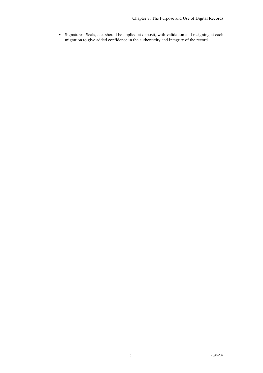• Signatures, Seals, etc. should be applied at deposit, with validation and resigning at each migration to give added confidence in the authenticity and integrity of the record.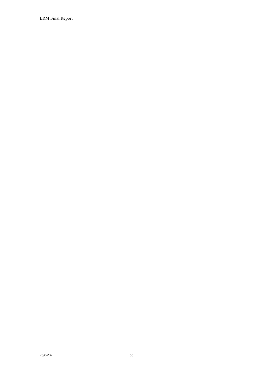ERM Final Report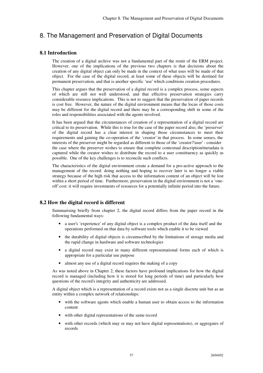# 8. The Management and Preservation of Digital Documents

# **8.1 Introduction**

The creation of a digital archive was not a fundamental part of the remit of the ERM project. However, one of the implications of the previous two chapters is that decisions about the creation of any digital object can only be made in the context of what uses will be made of that object. For the case of the digital record, at least some of these objects will be destined for permanent preservation, and that is another specific 'use' which conditions creation procedures.

This chapter argues that the preservation of a digital record is a complex process, some aspects of which are still not well understood, and that effective preservation strategies carry considerable resource implications. This is not to suggest that the preservation of paper records is cost free. However, the nature of the digital environment means that the locus of those costs may be different for the digital record and there may be a corresponding shift in some of the roles and responsibilities associated with the agents involved.

It has been argued that the circumstances of creation of a representation of a digital record are critical to its preservation. While this is true for the case of the paper record also, the 'preserver' of the digital record has a clear interest in shaping those circumstances to meet their requirements and gaining the co-operation of the 'creator' in that process. In some senses, the interests of the preserver might be regarded as different to those of the 'creator'/'user' - consider the case where the preserver wishes to ensure that complete contextual description/metadata is captured while the creator wishes to distribute the record to a user constituency as quickly as possible. One of the key challenges is to reconcile such conflicts.

The characteristics of the digital environment create a demand for a pro-active approach to the management of the record: doing nothing and hoping to recover later is no longer a viable strategy because of the high risk that access to the information content of an object will be lost within a short period of time. Furthermore, preservation in the digital environment is not a 'oneoff' cost: it will require investments of resources for a potentially infinite period into the future.

# **8.2 How the digital record is different**

Summarising briefly from chapter 2, the digital record differs from the paper record in the following fundamental ways:

- a user's 'experience' of any digital object is a complex product of the data itself and the operations performed on that data by software tools which enable it to be viewed
- the durability of digital objects is circumscribed by the limitations of storage media and the rapid change in hardware and software technologies
- a digital record may exist in many different representational forms each of which is appropriate for a particular use purpose
- almost any use of a digital record requires the making of a copy

As was noted above in Chapter 2, these factors have profound implications for how the digital record is managed (including how it is stored for long periods of time) and particularly how questions of the record's integrity and authenticity are addressed.

A digital object which is a representation of a record exists not as a single discrete unit but as an entity within a complex network of relationships:

- with the software agents which enable a human user to obtain access to the information content
- with other digital representations of the same record
- with other records (which may or may not have digital representations), or aggregates of records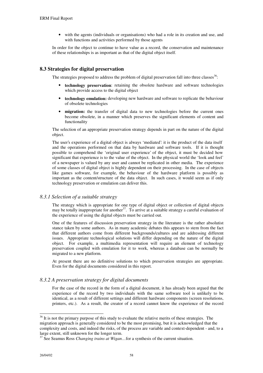with the agents (individuals or organisations) who had a role in its creation and use, and with functions and activities performed by those agents

In order for the object to continue to have value as a record, the conservation and maintenance of these relationships is as important as that of the digital object itself.

# **8.3 Strategies for digital preservation**

The strategies proposed to address the problem of digital preservation fall into three classes $^{36}$ .

- **technology preservation**: retaining the obsolete hardware and software technologies which provide access to the digital object
- **technology emulation:** developing new hardware and software to replicate the behaviour of obsolete technologies
- migration: the transfer of digital data to new technologies before the current ones become obsolete, in a manner which preserves the significant elements of content and functionality

The selection of an appropriate preservation strategy depends in part on the nature of the digital object.

The user's experience of a digital object is always 'mediated': it is the product of the data itself and the operations performed on that data by hardware and software tools. If it is thought possible to comprehend the 'original user experience' of the object, it must be decided how significant that experience is to the value of the object. In the physical world the 'look and feel' of a newspaper is valued by any user and cannot be replicated in other media. The experience of some classes of digital object is highly dependent on their processing. In the case of objects like games software, for example, the behaviour of the hardware platform is possibly as important as the content/structure of the data object. In such cases, it would seem as if only technology preservation or emulation can deliver this.

# *8.3.1 Selection of a suitable strategy*

The strategy which is appropriate for one type of digital object or collection of digital objects may be totally inappropriate for another<sup>37</sup>. To arrive at a suitable strategy a careful evaluation of the experience of using the digital objects must be carried out.

One of the features of discussion preservation strategy in the literature is the rather absolutist stance taken by some authors. As in many academic debates this appears to stem from the fact that different authors come from different backgrounds/cultures and are addressing different issues. Appropriate technological solutions will differ depending on the nature of the digital object. For example, a multimedia representation will require an element of technology preservation coupled with emulation for it to work, whereas a database can be normally be migrated to a new platform.

At present there are no definitive solutions to which preservation strategies are appropriate. Even for the digital documents considered in this report.

# *8.3.2 A preservation strategy for digital documents*

For the case of the record in the form of a digital document, it has already been argued that the experience of the record by two individuals with the same software tool is unlikely to be identical, as a result of different settings and different hardware components (screen resolutions, printers, etc.). As a result, the creator of a record cannot know the experience of the record

-

 $36$  It is not the primary purpose of this study to evaluate the relative merits of these strategies. The migration approach is generally considered to be the most promising, but it is acknowledged that the complexity and costs, and indeed the risks, of the process are variable and context-dependent - and, to a large extent, still unknown for the longer term.

<sup>&</sup>lt;sup>37</sup> See Seamus Ross *Changing trains at Wigan*...for a synthesis of the current situation.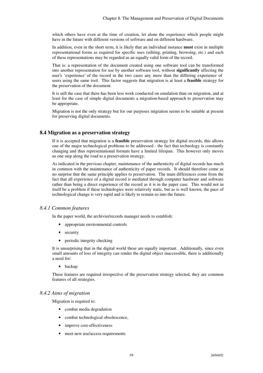which others have even at the time of creation, let alone the experience which people might have in the future with different versions of software and on different hardware.

In addition, even in the short term, it is likely that an individual instance **must** exist in multiple representational forms as required for specific uses (editing, printing, browsing, etc.) and each of these representations may be regarded as an equally valid form of the record.

That is: a representation of the document created using one software tool can be transformed into another representation for use by another software tool, without **significantly** affecting the user's 'experience' of the record in the two cases any more than the differing experience of users using the same tool. This factor suggests that migration is at least a **feasible** strategy for the preservation of the document.

It is still the case that there has been less work conducted on emulation than on migration, and at least for the case of simple digital documents a migration-based approach to preservation may be appropriate.

Migration is not the only strategy but for our purposes migration seems to be suitable at present for preserving digital documents.

### **8.4 Migration as a preservation strategy**

If it is accepted that migration is a **feasible** preservation strategy for digital records, this allows one of the major technological problems to be addressed - the fact that technology is constantly changing and thus representational formats have a limited lifespan. This however only moves us one step along the road to a preservation strategy.

As indicated in the previous chapter, maintenance of the authenticity of digital records has much in common with the maintenance of authenticity of paper records. It should therefore come as no surprise that the same principle applies to preservation. The main differences come from the fact that all experience of a digital record is mediated through computer hardware and software rather than being a direct experience of the record as it is in the paper case. This would not in itself be a problem if these technologies were relatively static, but as is well known, the pace of technological change is very rapid and is likely to remain so into the future.

#### *8.4.1 Common features*

In the paper world, the archivist/records manager needs to establish:

- appropriate environmental controls
- security
- periodic integrity checking

It is unsurprising that in the digital world these are equally important. Additionally, since even small amounts of loss of integrity can render the digital object inaccessible, there is additionally a need for:

• backup

These features are required irrespective of the preservation strategy selected, they are common features of all strategies.

#### *8.4.2 Aims of migration*

Migration is required to:

- combat media degradation
- combat technological obsolescence,
- improve cost-effectiveness
- meet new use/access requirements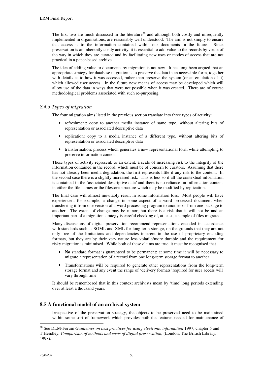The first two are much discussed in the literature<sup>38</sup> and although both costly and infrequently implemented in organisations, are reasonably well understood. The aim is not simply to ensure that access is to the information contained within our documents in the future. Since preservation is an inherently costly activity, it is essential to add value to the records by virtue of the way in which they are curated and by facilitating new uses or modes of access that are not practical in a paper-based archive.

The idea of adding value to documents by migration is not new. It has long been argued that an appropriate strategy for database migration is to preserve the data in an accessible form, together with details as to how it was accessed, rather than preserve the system (or an emulation of it) which allowed user access. In the future new means of access may be developed which will allow use of the data in ways that were not possible when it was created. There are of course methodological problems associated with such re-purposing.

# *8.4.3 Types of migration*

The four migration aims listed in the previous section translate into three types of activity:

- refreshment: copy to another media instance of same type, without altering bits of representation or associated descriptive data
- replication: copy to a media instance of a different type, without altering bits of representation or associated descriptive data
- transformation: process which generates a new representational form while attempting to preserve information content

These types of activity represent, to an extent, a scale of increasing risk to the integrity of the information contained in the record, which must be of concern to curators. Assuming that there has not already been media degradation, the first represents little if any risk to the content. In the second case there is a slightly increased risk. This is less so if all the contextual information is contained in the 'associated descriptive data' and there is no reliance on information content in either the file names or the filestore structure which may be modified by replication.

The final case will almost inevitably result in some information loss. Most people will have experienced, for example, a change in some aspect of a word processed document when transferring it from one version of a word processing program to another or from one package to another. The extent of change may be minor, but there is a risk that it will not be and an important part of a migration strategy is careful checking of, at least, a sample of files migrated.

Many discussions of digital preservation recommend representations encoded in accordance with standards such as SGML and XML for long term storage, on the grounds that they are not only free of the limitations and dependencies inherent in the use of proprietary encoding formats, but they are by their very nature less volatile/more durable and the requirement for risky migration is minimised. While both of these claims are true, it must be recognised that

- **No** standard format is guaranteed to be permanent: at some time it will be necessary to migrate a representation of a record from one long-term storage format to another
- Transformations **will** be required to generate other representations from the long-term storage format and any event the range of 'delivery formats' required for user access will vary through time

It should be remembered that in this context archivists mean by 'time' long periods extending over at least a thousand years.

# **8.5 A functional model of an archival system**

Irrespective of the preservation strategy, the objects to be preserved need to be maintained within some sort of framework which provides both the features needed for maintenance of

-

<sup>38</sup> See DLM-Forum *Guidleines on best practices for using electronic information* 1997, chapter 5 and T.Hendley, *Comparison of methods and costs of digital preservation*, (London, The British Library, 1998).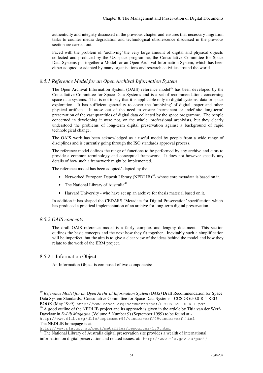authenticity and integrity discussed in the previous chapter and ensures that necessary migration tasks to counter media degradation and technological obsolescence discussed in the previous section are carried out.

Faced with the problem of 'archiving' the very large amount of digital and physical objects collected and produced by the US space programme, the Consultative Committee for Space Data Systems put together a Model for an Open Archival Information System, which has been either adopted or adapted by many organisations and research activities around the world.

# *8.5.1 Reference Model for an Open Archival Information System*

The Open Archival Information System (OAIS) reference model<sup>39</sup> has been developed by the Consultative Committee for Space Data Systems and is a set of recommendations concerning space data systems. That is not to say that it is applicable only to digital systems, data or space exploration. It has sufficient generality to cover the 'archiving' of digital, paper and other physical artifacts. It arose out of the need to ensure 'permanent or indefinite long-term' preservation of the vast quantities of digital data collected by the space programme. The people concerned in developing it were not, on the whole, professional archivists, but they clearly understood the problems of long-term digital preservation against a background of rapid technological change.

The OAIS work has been acknowledged as a useful model by people from a wide range of disciplines and is currently going through the ISO standards approval process.

The reference model defines the range of functions to be performed by any archive and aims to provide a common terminology and conceptual framework. It does not however specify any details of how such a framework might be implemented.

The reference model has been adopted/adapted by the:-

- Networked European Deposit Library (NEDLIB)<sup>40</sup>- whose core metadata is based on it.
- The National Library of Australia<sup>41</sup>
- Harvard University who have set up an archive for thesis material based on it.

In addition it has shaped the CEDARS 'Metadata for Digital Preservation' specification which has produced a practical implementation of an archive for long-term digital preservation.

# *8.5.2 OAIS concepts*

The draft OAIS reference model is a fairly complex and lengthy document. This section outlines the basic concepts and the next how they fit together. Inevitably such a simplification will be imperfect, but the aim is to give a clear view of the ideas behind the model and how they relate to the work of the ERM project.

# 8.5.2.1 Information Object

l

An Information Object is composed of two components:-

<sup>40</sup> A good outline of the NEDLIB project and its approach is given in the article by Titia van der Werf-Davelaar in *D-Lib Magazine* (Volume 5 Number 9) (September 1999) to be found at:http://www.dlib.org/dlib/september99/vanderwerf/09vanderwerf.html

The NEDLIB homepage is at:-

<sup>&</sup>lt;sup>39</sup> *Reference Model for an Open Archival Information System (OAIS)* Draft Recommendation for Space Data System Standards. Consultative Committee for Space Data Systems - CCSDS 650.0-R-1 RED BOOK (May 1999) http://www.ccsds.org/documents/pdf/CCSDS-650.0-R-1.pdf

http://www.nla.gov.au/padi/metafiles/resources/130.html

<sup>&</sup>lt;sup>41</sup> The National Library of Australia digital preservation site provides a wealth of international information on digital preservation and related issues. at:- http://www.nla.gov.au/padi/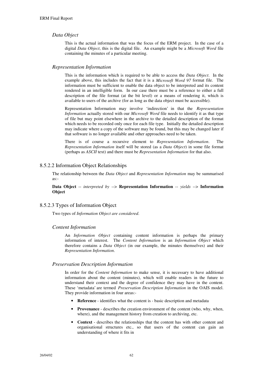# *Data Object*

This is the actual information that was the focus of the ERM project. In the case of a digital *Data Object*, this is the digital file. An example might be a *Microsoft Word* file containing the minutes of a particular meeting.

#### *Representation Information*

This is the information which is required to be able to access the *Data Object*. In the example above, this includes the fact that it is a *Microsoft Word 97* format file. The information must be sufficient to enable the data object to be interpreted and its content rendered in an intelligible form. In our case there must be a reference to either a full description of the file format (at the bit level) or a means of rendering it, which is available to users of the archive (for as long as the data object must be accessible).

Representation Information may involve 'indirection' in that the *Representation Information* actually stored with our *Microsoft Word* file needs to identify it as that type of file but may point elsewhere in the archive to the detailed description of the format which needs to be recorded only once for each file type. Initially the detailed description may indicate where a copy of the software may be found, but this may be changed later if that software is no longer available and other approaches need to be taken.

There is of course a recursive element to *Representation Information*. The *Representation Information* itself will be stored (as a *Data Object*) in some file format (perhaps as *ASCII* text) and there must be *Representation Information* for that also.

#### 8.5.2.2 Information Object Relationships

The relationship between the *Data Object* and *Representation Information* may be summarised as:-

**Data Object** -- *interpreted by* --> **Representation Information** -- *yields* --> **Information Object**

#### 8.5.2.3 Types of Information Object

Two types of *Information Object are considered*.

#### *Content Information*

An *Information Object* containing content information is perhaps the primary information of interest. The *Content Information* is an *Information Object* which therefore contains a *Data Object* (in our example, the minutes themselves) and their *Representation Information*.

#### *Preservation Description Information*

In order for the *Content Information* to make sense, it is necessary to have additional information about the content (minutes), which will enable readers in the future to understand their context and the degree of confidence they may have in the content. These 'metadata' are termed *Preservation Description Information* in the OAIS model. They provide information in four areas:-

- **Reference** identifies what the content is basic description and metadata
- **Provenance** describes the creation environment of the content (who, why, when, where), and the management history from creation to archiving, etc.
- **Context** describes the relationships that the content has with other content and organisational structures etc., so that users of the content can gain an understanding of where it fits in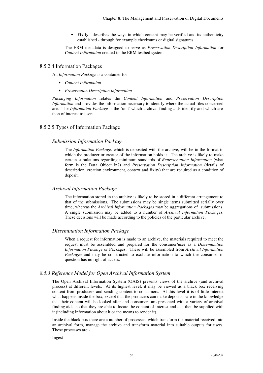**Fixity** - describes the ways in which content may be verified and its authenticity established - through for example checksums or digital signatures.

The ERM metadata is designed to serve as *Preservation Description Information* for *Content Information* created in the ERM testbed system.

#### 8.5.2.4 Information Packages

An *Information Package* is a container for

- *Content Information*
- *Preservation Description Information*

*Packaging Information* relates the *Content Information* and *Preservation Description Information* and provides the information necessary to identify where the actual files concerned are. The *Information Package* is the 'unit' which archival finding aids identify and which are then of interest to users.

# 8.5.2.5 Types of Information Package

# *Submission Information Package*

The *Information Package,* which is deposited with the archive, will be in the format in which the producer or creator of the information holds it. The archive is likely to make certain stipulations regarding minimum standards of *Representation Information* (what form is the Data Object in?) and *Preservation Description Information* (details of description, creation environment, context and fixity) that are required as a condition of deposit.

### *Archival Information Package*

The information stored in the archive is likely to be stored in a different arrangement to that of the submissions. The submissions may be single items submitted serially over time, whereas the *Archival Information Packages* may be aggregations of submissions. A single submission may be added to a number of *Archival Information Packages*. These decisions will be made according to the policies of the particular archive.

# *Dissemination Information Package*

When a request for information is made to an archive, the materials required to meet the request must be assembled and prepared for the consumer/user as a *Dissemination Information Package* or Packages. These will be assembled from *Archival Information Packages* and may be constructed to exclude information to which the consumer in question has no right of access.

# *8.5.3 Reference Model for Open Archival Information System*

The Open Archival Information System (OAIS) presents views of the archive (and archival process) at different levels. At its highest level, it may be viewed as a black box receiving content from producers and sending content to consumers. At this level it is of little interest what happens inside the box, except that the producers can make deposits, safe in the knowledge that their content will be looked after and consumers are presented with a variety of archival finding aids, so that they are able to locate the content of interest and can then be supplied with it (including information about it or the means to render it).

Inside the black box there are a number of processes, which transform the material received into an archival form, manage the archive and transform material into suitable outputs for users. These processes are:-

Ingest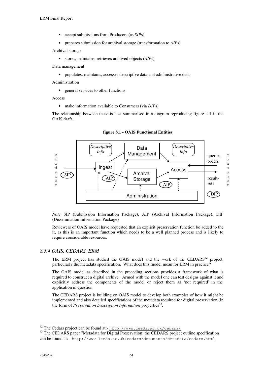- accept submissions from Producers (as *SIP*s)
- prepares submission for archival storage (transformation to *AIP*s)

Archival storage

• stores, maintains, retrieves archived objects (*AIP*s)

Data management

• populates, maintains, accesses descriptive data and administrative data

Administration

• general services to other functions

Access

• make information available to Consumers (via *DIP*s)

The relationship between these is best summarised in a diagram reproducing figure 4-1 in the OAIS draft..



**figure 8.1 - OAIS Functional Entities**

*Note* SIP (Submission Information Package), AIP (Archival Information Package), DIP (Dissemination Information Package)

Reviewers of OAIS model have requested that an explicit preservation function be added to the it, as this is an important function which needs to be a well planned process and is likely to require considerable resources.

# *8.5.4 OAIS, CEDARS, ERM*

The ERM project has studied the OAIS model and the work of the CEDARS<sup>42</sup> project, particularly the metadata specification. What does this model mean for ERM in practice?

The OAIS model as described in the preceding sections provides a framework of what is required to construct a digital archive. Armed with the model one can test designs against it and explicitly address the components of the model or reject them as 'not required' in the application in question.

The CEDARS project is building on OAIS model to develop both examples of how it might be implemented and also detailed specifications of the metadata required for digital preservation (in the form of *Preservation Description Information* properties 43 .

j

 $^{42}$  The Cedars project can be found at:-  $\text{http://www.leads.ac.uk/cedars/}$ 

<sup>&</sup>lt;sup>43</sup> The CEDARS paper "Metadata for Digital Preservation: the CEDARS project outline specification can be found at:- http://www.leeds.ac.uk/cedars/documents/Metadata/cedars.html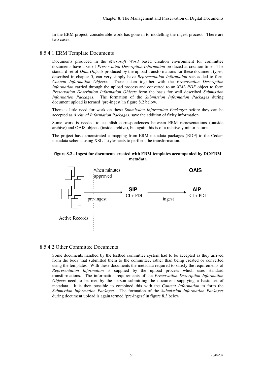In the ERM project, considerable work has gone in to modelling the ingest process. There are two cases:

### 8.5.4.1 ERM Template Documents

Documents produced in the *Microsoft Word* based creation environment for committee documents have a set of *Preservation Description Information* produced at creation time. The standard set of *Data Objects* produced by the upload transformations for these document types, described in chapter 5, can very simply have *Representation Information* sets added to form *Content Information Objects*. These taken together with the *Preservation Description Information* carried through the upload process and converted to an *XML RDF* object to form *Preservation Description Information Objects* form the basis for well described *Submission Information Packages*. The formation of the *Submission Information Packages* during document upload is termed 'pre-ingest' in figure 8.2 below.

There is little need for work on these *Submission Information Packages* before they can be accepted as *Archival Information Packages*, save the addition of fixity information.

Some work is needed to establish correspondences between ERM representations (outside archive) and OAIS objects (inside archive), but again this is of a relatively minor nature.

The project has demonstrated a mapping from ERM metadata packages (RDF) to the Cedars metadata schema using XSLT stylesheets to perform the transformation.

#### **figure 8.2 - Ingest for documents created with ERM templates accompanied by DC/ERM metadata**



#### 8.5.4.2 Other Committee Documents

Some documents handled by the testbed committee system had to be accepted as they arrived from the body that submitted them to the committee, rather than being created or converted using the templates. With these documents the metadata required to satisfy the requirements of *Representation Information* is supplied by the upload process which uses standard transformations. The information requirements of the *Preservation Description Information Objects* need to be met by the person submitting the document supplying a basic set of metadata. It is then possible to combined this with the *Content Information* to form the *Submission Information Packages*. The formation of the *Submission Information Packages* during document upload is again termed 'pre-ingest' in figure 8.3 below.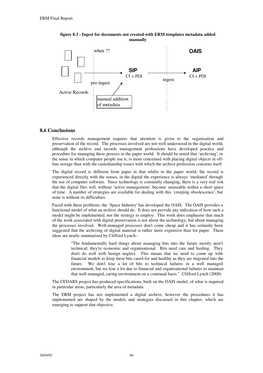

# **figure 8.3 - Ingest for documents not created with ERM templates metadata added manually**

# **8.6 Conclusions**

Effective records management requires that attention is given to the organisation and preservation of the record. The processes involved are not well understood in the digital world, although the archive and records management professions have developed practice and procedure for managing these process in the paper world. It should be noted that 'archiving', in the sense in which computer people use it, is more concerned with placing digital objects in offline storage than with the custodianship issues with which the archive profession concerns itself.

The digital record is different from paper in that whilst in the paper world, the record is experienced directly with the senses, in the digital the experience is always 'mediated' through the use of computer software. Since technology is constantly changing, there is a very real risk that the digital files will, without 'active management', become unuseable within a short space of time. A number of strategies are available for dealing with this 'creeping obsolescence', but none is without its difficulties.

Faced with these problems, the 'Space Industry' has developed the OAIS. The OAIS provides a functional model of what an archive should do. It does not provide any indication of how such a model might be implemented, nor the strategy to employ. This work does emphasise that much of the work associated with digital preservation is not about the technology, but about managing the processes involved. Well-managed processes don't come cheap and it has certainly been suggested that the archiving of digital material is rather more expensive than for paper. These ideas are neatly summarised by Clifford Lynch:-

> "The fundamentally hard things about managing bits into the future mostly aren't technical; they're economic and organisational. Bits need care and feeding. They don't do well with benign neglect. This means that we need to come up with financial models to keep these bits cared for and healthy as they are migrated into the future. We don't lose a lot of bits to technical failures in a well managed environment, but we lose a lot due to financial and organisational failures to maintain that well-managed, caring environment on a continual basis." Clifford Lynch (2000)

The CEDARS project has produced specifications, built on the OAIS model, of what is required in particular areas, particularly the area of metadata.

The ERM project has not implemented a digital archive, however the procedures it has implemented are shaped by the models and strategies discussed in this chapter, which are emerging to support that objective.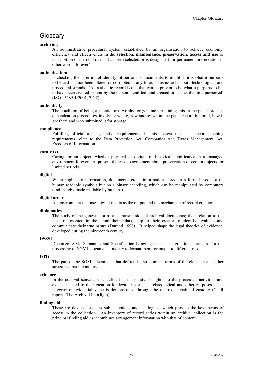# **Glossary**

#### **archiving**

An administrative procedural system established by an organisation to achieve economy, efficiency and effectiveness in the **selection, maintenance, preservation, access and use** of that portion of the records that has been selected or is designated for permanent preservation in other words 'forever'.

### **authentication**

Is checking the assertion of identity, of persons or documents, to establish it is what it purports to be and has not been altered or corrupted at any time. This issue has both technological and procedural strands. 'An authentic record is one that can be proven to be what it purports to be, to have been created or sent by the person identified, and created or sent at the time purported' (ISO 15489-1:2001, 7.2.2).

#### **authenticity**

The condition of being authentic, trustworthy, or genuine. Attaining this in the paper order is dependent on procedures, involving where, how and by whom the paper record is stored, how it got there and who submitted it for storage.

#### **compliance**

Fulfilling official and legislative requirements, in this context the usual record keeping requirements relate to the Data Protection Act, Companies Act, Taxes Management Act, Freedom of Information.

#### **curate (v)**

Caring for an object, whether physical or digital, of historical significance in a managed environment forever. At present there is no agreement about preservation of certain objects for limited periods.

#### **digital**

When applied to information, documents, etc. - information stored in a form, based not on human readable symbols but on a binary encoding, which can be manipulated by computers (and thereby made readable by humans).

#### **digital order**

An environment that uses digital media as the output and the mechanism of record creation.

#### **diplomatics**

The study of the genesis, forms and transmission of archival documents; their relation to the facts represented in them and their relationship to their creator to identify, evaluate and communicate their true nature (Duranti 1998). It helped shape the legal theories of evidence, developed during the nineteenth century.

#### **DSSSL**

Document Style Semantics and Specification Language - is the international standard for the processing of SGML documents; mostly to format them for output to different media.

#### **DTD**

The part of the SGML document that defines its structure in terms of the elements and other structures that it contains.

#### **evidence**

In the archival sense can be defined as the passive insight into the processes, activities and events that led to their creation for legal, historical, archaeological and other purposes. The integrity of evidential value is demonstrated through the unbroken chain of custody (CLIR report - The Archival Paradigm).

#### **finding aid**

These are devices, such as subject guides and catalogues, which provide the key means of access to the collection. An inventory of record series within an archival collection is the principal finding aid as it combines arrangement information with that of content.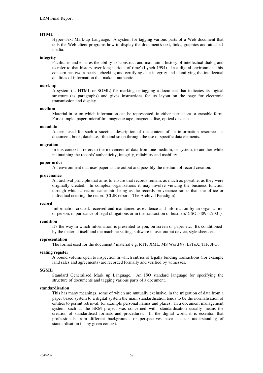### **HTML**

Hyper-Text Mark-up Language. A system for tagging various parts of a Web document that tells the Web client programs how to display the document's text, links, graphics and attached media.

#### **integrity**

Facilitates and ensures the ability to 'construct and maintain a history of intellectual dialog and to refer to that history over long periods of time' (Lynch 1994). In a digital environment this concern has two aspects - checking and certifying data integrity and identifying the intellectual qualities of information that make it authentic.

#### **mark-up**

A system (as HTML or SGML) for marking or tagging a document that indicates its logical structure (as paragraphs) and gives instructions for its layout on the page for electronic transmission and display.

#### **medium**

Material in or on which information can be represented, in either permanent or erasable form. For example, paper, microfilm, magnetic tape, magnetic disc, optical disc etc.

#### **metadata**

A term used for such a succinct description of the content of an information resource - a document, book, database, film and so on through the use of specific data elements.

#### **migration**

In this context it refers to the movement of data from one medium, or system, to another while maintaining the records' authenticity, integrity, reliability and usability.

#### **paper order**

An environment that uses paper as the output and possibly the medium of record creation.

#### **provenance**

An archival principle that aims to ensure that records remain, as much as possible, as they were originally created. In complex organisations it may involve viewing the business function through which a record came into being as the records provenance rather than the office or individual creating the record (CLIR report - The Archival Paradigm).

#### **record**

'information created, received and maintained as evidence and information by an organization or person, in pursuance of legal obligations or in the transaction of business' (ISO 5489-1:2001)

### **rendition**

It's the way in which information is presented to you, on screen or paper etc. It's conditioned by the material itself and the machine setting, software in use, output device, style sheets etc.

#### **representation**

The format used for the document / material e.g. RTF, XML, MS Word 97, LaTeX, TIF, JPG.

#### **sealing register**

A bound volume open to inspection in which entries of legally binding transactions (for example land sales and agreements) are recorded formally and verified by witnesses.

#### **SGML**

Standard Generalised Mark up Language. An ISO standard language for specifying the structure of documents and tagging various parts of a document.

#### **standardisation**

This has many meanings, some of which are mutually exclusive, in the migration of data from a paper based system to a digital system the main standardisation tends to be the normalisation of entities to permit retrieval, for example personal names and places. In a document management system, such as the ERM project was concerned with, standardisation usually means the creation of standardised formats and procedures. In the digital world it is essential that professionals from different backgrounds or perspectives have a clear understanding of standardisation in any given context.